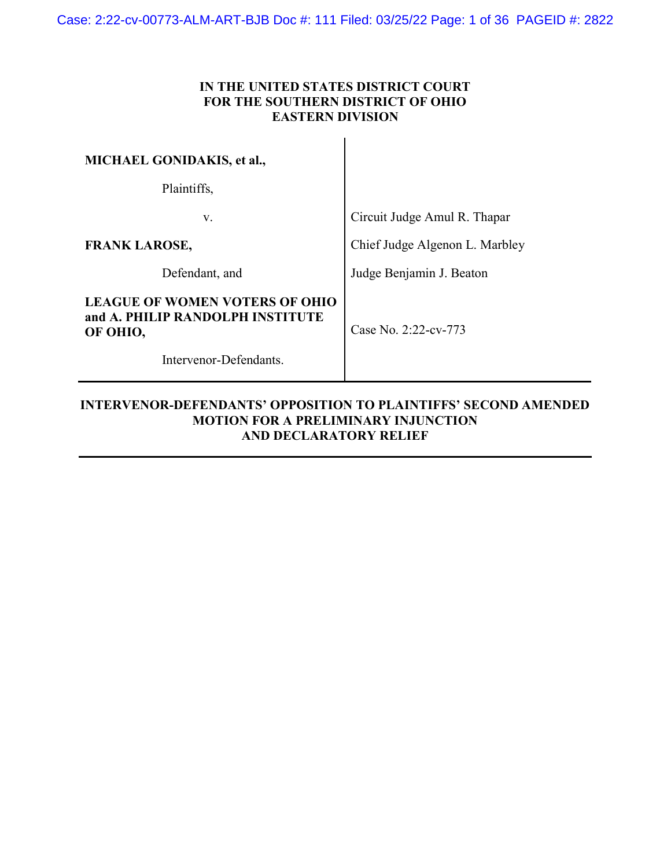### IN THE UNITED STATES DISTRICT COURT FOR THE SOUTHERN DISTRICT OF OHIO EASTERN DIVISION

| <b>MICHAEL GONIDAKIS, et al.,</b>                                                     |                                |
|---------------------------------------------------------------------------------------|--------------------------------|
| Plaintiffs,                                                                           |                                |
| V.                                                                                    | Circuit Judge Amul R. Thapar   |
| <b>FRANK LAROSE,</b>                                                                  | Chief Judge Algenon L. Marbley |
| Defendant, and                                                                        | Judge Benjamin J. Beaton       |
| <b>LEAGUE OF WOMEN VOTERS OF OHIO</b><br>and A. PHILIP RANDOLPH INSTITUTE<br>OF OHIO, | Case No. 2:22-cv-773           |
| Intervenor-Defendants.                                                                |                                |

l

### INTERVENOR-DEFENDANTS' OPPOSITION TO PLAINTIFFS' SECOND AMENDED MOTION FOR A PRELIMINARY INJUNCTION AND DECLARATORY RELIEF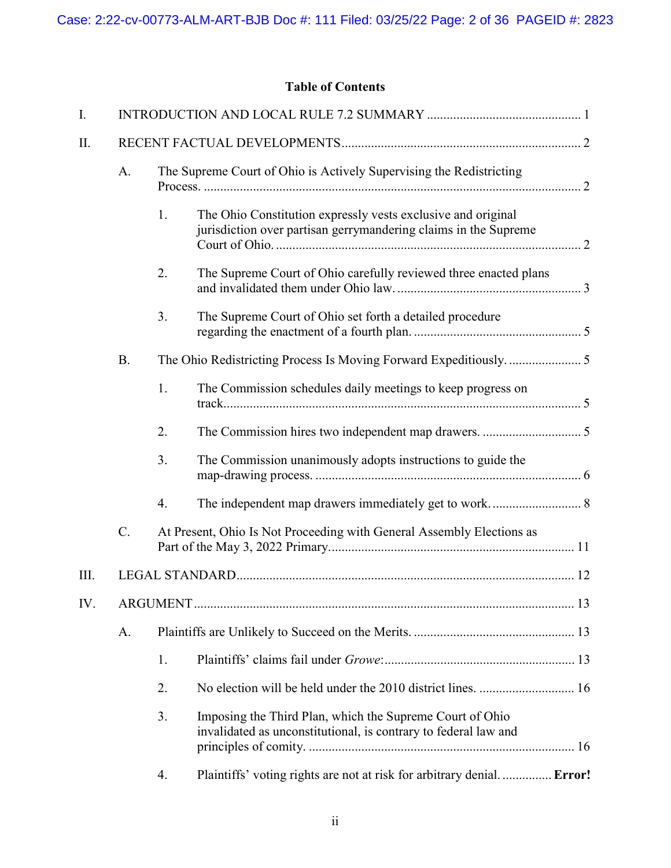# Table of Contents

| I.   |           |    |                                                                                                                                 |  |
|------|-----------|----|---------------------------------------------------------------------------------------------------------------------------------|--|
| II.  |           |    |                                                                                                                                 |  |
|      | A.        |    | The Supreme Court of Ohio is Actively Supervising the Redistricting                                                             |  |
|      |           | 1. | The Ohio Constitution expressly vests exclusive and original<br>jurisdiction over partisan gerrymandering claims in the Supreme |  |
|      |           | 2. | The Supreme Court of Ohio carefully reviewed three enacted plans                                                                |  |
|      |           | 3. | The Supreme Court of Ohio set forth a detailed procedure                                                                        |  |
|      | <b>B.</b> |    |                                                                                                                                 |  |
|      |           | 1. | The Commission schedules daily meetings to keep progress on                                                                     |  |
|      |           | 2. |                                                                                                                                 |  |
|      |           | 3. | The Commission unanimously adopts instructions to guide the                                                                     |  |
|      |           | 4. |                                                                                                                                 |  |
|      | C.        |    | At Present, Ohio Is Not Proceeding with General Assembly Elections as                                                           |  |
| III. |           |    |                                                                                                                                 |  |
| IV.  |           |    |                                                                                                                                 |  |
|      | A.        |    |                                                                                                                                 |  |
|      |           | 1. |                                                                                                                                 |  |
|      |           | 2. |                                                                                                                                 |  |
|      |           | 3. | Imposing the Third Plan, which the Supreme Court of Ohio<br>invalidated as unconstitutional, is contrary to federal law and     |  |
|      |           | 4. | Plaintiffs' voting rights are not at risk for arbitrary denial Error!                                                           |  |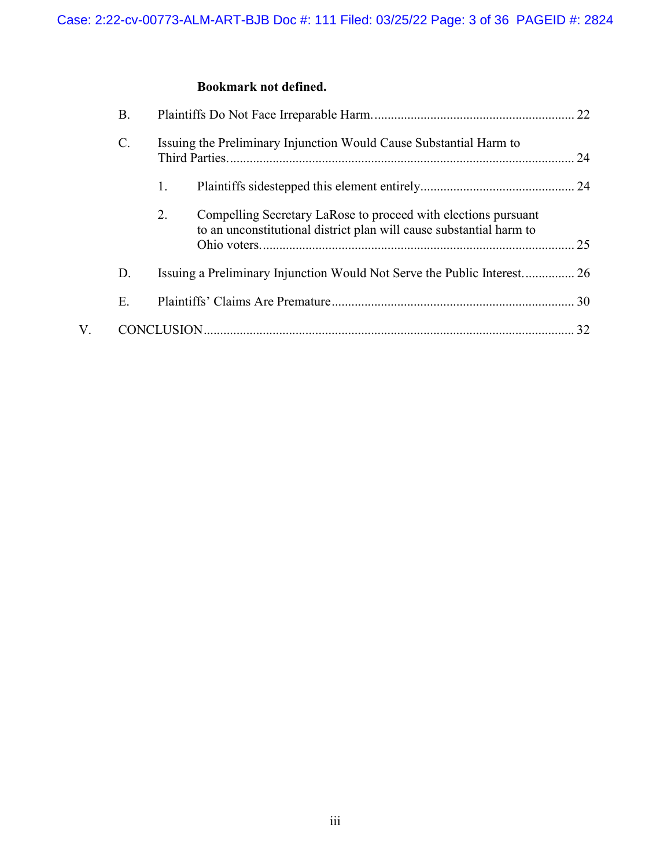# Bookmark not defined.

|    | В.             |                                                                                                                                             |
|----|----------------|---------------------------------------------------------------------------------------------------------------------------------------------|
|    | $\mathbf{C}$ . | Issuing the Preliminary Injunction Would Cause Substantial Harm to                                                                          |
|    |                | 1.                                                                                                                                          |
|    |                | Compelling Secretary LaRose to proceed with elections pursuant<br>2.<br>to an unconstitutional district plan will cause substantial harm to |
|    | D.             |                                                                                                                                             |
|    | Ε.             |                                                                                                                                             |
| V. |                |                                                                                                                                             |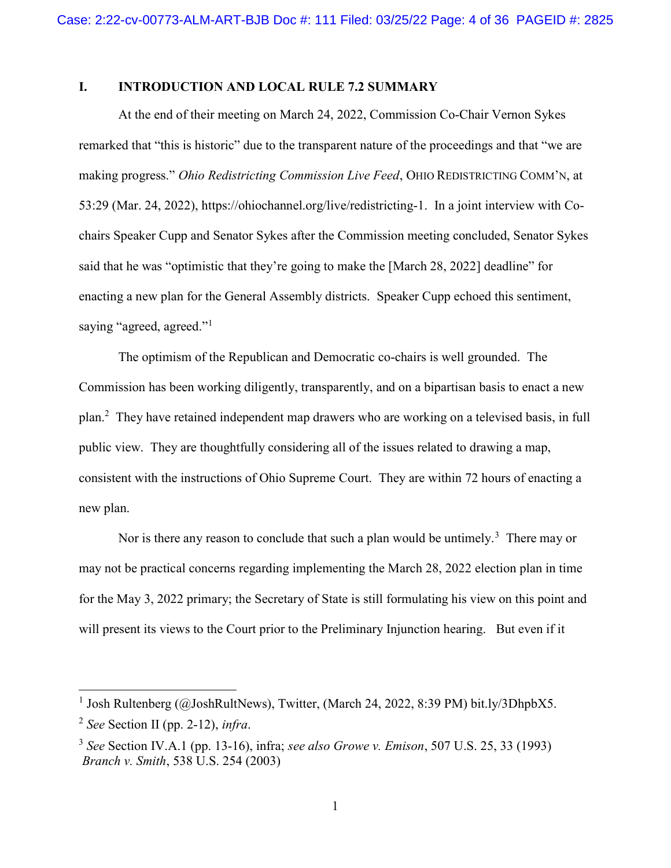### I. INTRODUCTION AND LOCAL RULE 7.2 SUMMARY

At the end of their meeting on March 24, 2022, Commission Co-Chair Vernon Sykes remarked that "this is historic" due to the transparent nature of the proceedings and that "we are making progress." Ohio Redistricting Commission Live Feed, OHIO REDISTRICTING COMM'N, at 53:29 (Mar. 24, 2022), https://ohiochannel.org/live/redistricting-1. In a joint interview with Cochairs Speaker Cupp and Senator Sykes after the Commission meeting concluded, Senator Sykes said that he was "optimistic that they're going to make the [March 28, 2022] deadline" for enacting a new plan for the General Assembly districts. Speaker Cupp echoed this sentiment, saying "agreed, agreed."<sup>1</sup>

The optimism of the Republican and Democratic co-chairs is well grounded. The Commission has been working diligently, transparently, and on a bipartisan basis to enact a new plan.<sup>2</sup> They have retained independent map drawers who are working on a televised basis, in full public view. They are thoughtfully considering all of the issues related to drawing a map, consistent with the instructions of Ohio Supreme Court. They are within 72 hours of enacting a new plan.

Nor is there any reason to conclude that such a plan would be untimely.<sup>3</sup> There may or may not be practical concerns regarding implementing the March 28, 2022 election plan in time for the May 3, 2022 primary; the Secretary of State is still formulating his view on this point and will present its views to the Court prior to the Preliminary Injunction hearing. But even if it

-

<sup>&</sup>lt;sup>1</sup> Josh Rultenberg (@JoshRultNews), Twitter, (March 24, 2022, 8:39 PM) bit.ly/3DhpbX5.

 $2$  See Section II (pp. 2-12), infra.

 $3$  See Section IV.A.1 (pp. 13-16), infra; see also Growe v. Emison, 507 U.S. 25, 33 (1993) Branch v. Smith, 538 U.S. 254 (2003)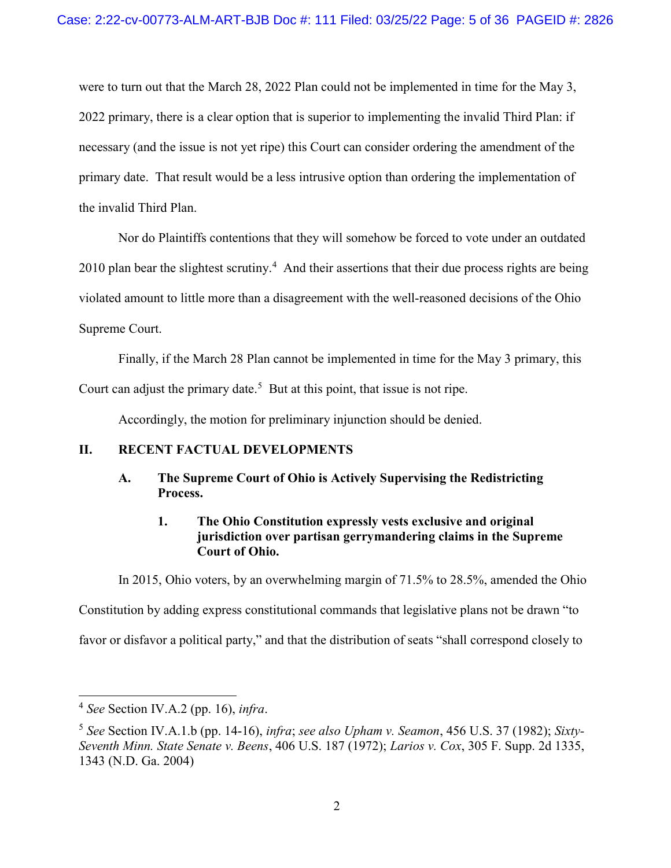were to turn out that the March 28, 2022 Plan could not be implemented in time for the May 3, 2022 primary, there is a clear option that is superior to implementing the invalid Third Plan: if necessary (and the issue is not yet ripe) this Court can consider ordering the amendment of the primary date. That result would be a less intrusive option than ordering the implementation of the invalid Third Plan.

Nor do Plaintiffs contentions that they will somehow be forced to vote under an outdated 2010 plan bear the slightest scrutiny.<sup>4</sup> And their assertions that their due process rights are being violated amount to little more than a disagreement with the well-reasoned decisions of the Ohio Supreme Court.

Finally, if the March 28 Plan cannot be implemented in time for the May 3 primary, this Court can adjust the primary date.<sup>5</sup> But at this point, that issue is not ripe.

Accordingly, the motion for preliminary injunction should be denied.

### II. RECENT FACTUAL DEVELOPMENTS

### A. The Supreme Court of Ohio is Actively Supervising the Redistricting Process.

### 1. The Ohio Constitution expressly vests exclusive and original jurisdiction over partisan gerrymandering claims in the Supreme Court of Ohio.

In 2015, Ohio voters, by an overwhelming margin of 71.5% to 28.5%, amended the Ohio

Constitution by adding express constitutional commands that legislative plans not be drawn "to

favor or disfavor a political party," and that the distribution of seats "shall correspond closely to

 $4$  See Section IV.A.2 (pp. 16), infra.

 $5$  See Section IV.A.1.b (pp. 14-16), infra; see also Upham v. Seamon, 456 U.S. 37 (1982); Sixty-Seventh Minn. State Senate v. Beens, 406 U.S. 187 (1972); Larios v. Cox, 305 F. Supp. 2d 1335, 1343 (N.D. Ga. 2004)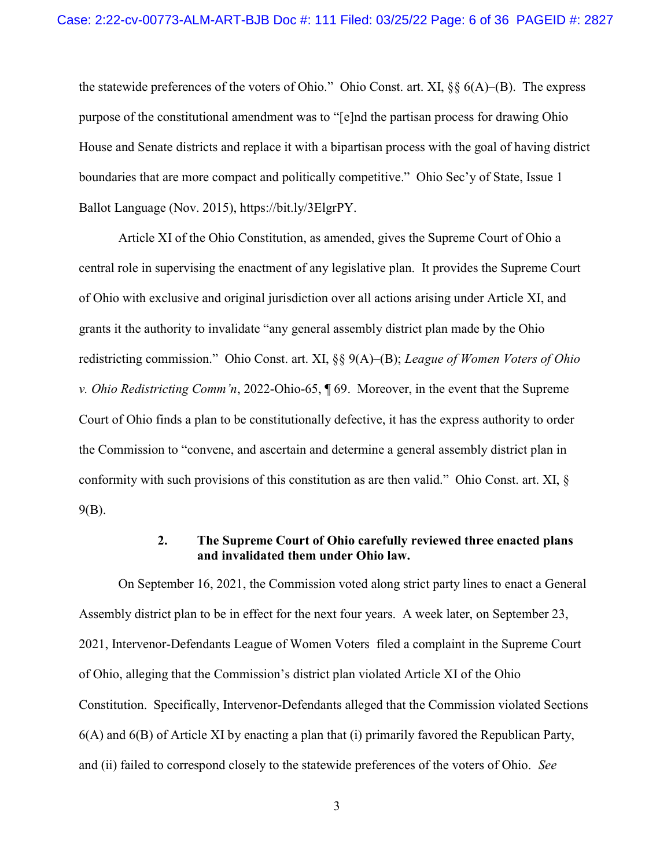the statewide preferences of the voters of Ohio." Ohio Const. art. XI, §§ 6(A)–(B). The express purpose of the constitutional amendment was to "[e]nd the partisan process for drawing Ohio House and Senate districts and replace it with a bipartisan process with the goal of having district boundaries that are more compact and politically competitive." Ohio Sec'y of State, Issue 1 Ballot Language (Nov. 2015), https://bit.ly/3ElgrPY.

Article XI of the Ohio Constitution, as amended, gives the Supreme Court of Ohio a central role in supervising the enactment of any legislative plan. It provides the Supreme Court of Ohio with exclusive and original jurisdiction over all actions arising under Article XI, and grants it the authority to invalidate "any general assembly district plan made by the Ohio redistricting commission." Ohio Const. art. XI,  $\S$ §  $9(A)$ – $(B)$ ; League of Women Voters of Ohio v. Ohio Redistricting Comm'n, 2022-Ohio-65, ¶ 69. Moreover, in the event that the Supreme Court of Ohio finds a plan to be constitutionally defective, it has the express authority to order the Commission to "convene, and ascertain and determine a general assembly district plan in conformity with such provisions of this constitution as are then valid." Ohio Const. art. XI, § 9(B).

### 2. The Supreme Court of Ohio carefully reviewed three enacted plans and invalidated them under Ohio law.

On September 16, 2021, the Commission voted along strict party lines to enact a General Assembly district plan to be in effect for the next four years. A week later, on September 23, 2021, Intervenor-Defendants League of Women Voters filed a complaint in the Supreme Court of Ohio, alleging that the Commission's district plan violated Article XI of the Ohio Constitution. Specifically, Intervenor-Defendants alleged that the Commission violated Sections 6(A) and 6(B) of Article XI by enacting a plan that (i) primarily favored the Republican Party, and (ii) failed to correspond closely to the statewide preferences of the voters of Ohio. See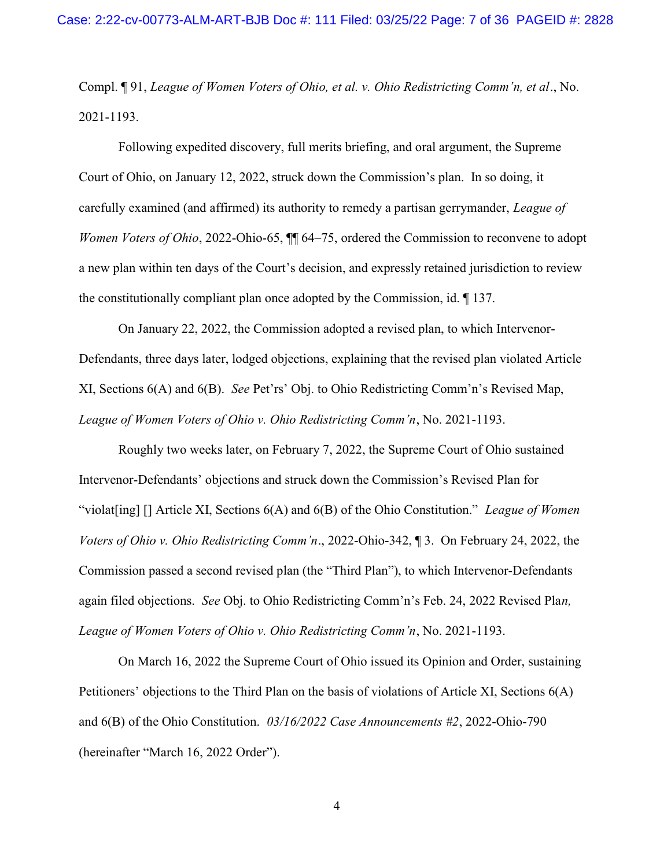Compl. ¶ 91, League of Women Voters of Ohio, et al. v. Ohio Redistricting Comm'n, et al., No. 2021-1193.

Following expedited discovery, full merits briefing, and oral argument, the Supreme Court of Ohio, on January 12, 2022, struck down the Commission's plan. In so doing, it carefully examined (and affirmed) its authority to remedy a partisan gerrymander, League of Women Voters of Ohio, 2022-Ohio-65,  $\P$  64–75, ordered the Commission to reconvene to adopt a new plan within ten days of the Court's decision, and expressly retained jurisdiction to review the constitutionally compliant plan once adopted by the Commission, id. ¶ 137.

On January 22, 2022, the Commission adopted a revised plan, to which Intervenor-Defendants, three days later, lodged objections, explaining that the revised plan violated Article XI, Sections 6(A) and 6(B). See Pet'rs' Obj. to Ohio Redistricting Comm'n's Revised Map, League of Women Voters of Ohio v. Ohio Redistricting Comm'n, No. 2021-1193.

Roughly two weeks later, on February 7, 2022, the Supreme Court of Ohio sustained Intervenor-Defendants' objections and struck down the Commission's Revised Plan for "violat[ing]  $\lceil \cdot \rceil$  Article XI, Sections  $6(A)$  and  $6(B)$  of the Ohio Constitution." League of Women Voters of Ohio v. Ohio Redistricting Comm'n., 2022-Ohio-342, ¶ 3. On February 24, 2022, the Commission passed a second revised plan (the "Third Plan"), to which Intervenor-Defendants again filed objections. See Obj. to Ohio Redistricting Comm'n's Feb. 24, 2022 Revised Plan, League of Women Voters of Ohio v. Ohio Redistricting Comm'n, No. 2021-1193.

On March 16, 2022 the Supreme Court of Ohio issued its Opinion and Order, sustaining Petitioners' objections to the Third Plan on the basis of violations of Article XI, Sections 6(A) and 6(B) of the Ohio Constitution. 03/16/2022 Case Announcements #2, 2022-Ohio-790 (hereinafter "March 16, 2022 Order").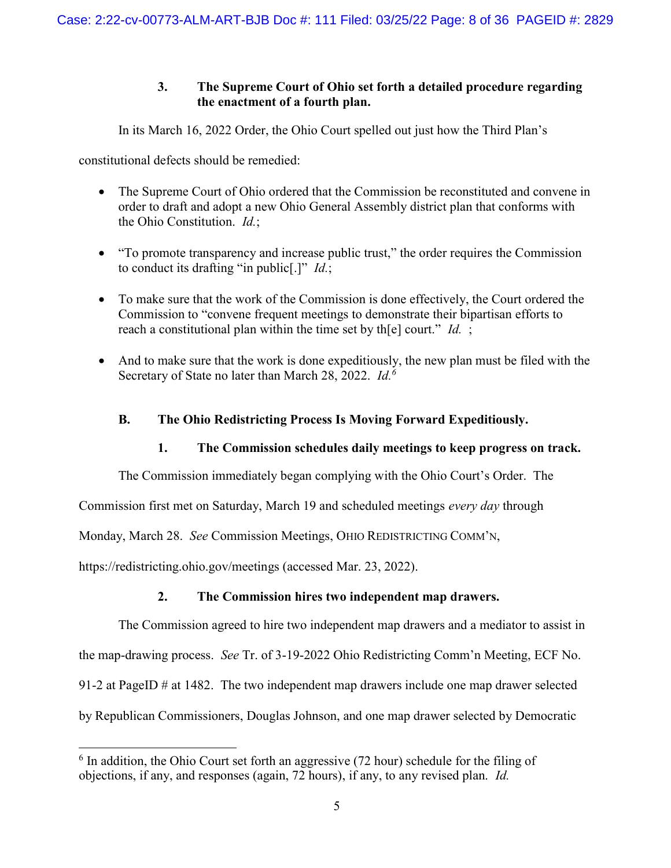## 3. The Supreme Court of Ohio set forth a detailed procedure regarding the enactment of a fourth plan.

In its March 16, 2022 Order, the Ohio Court spelled out just how the Third Plan's

constitutional defects should be remedied:

- The Supreme Court of Ohio ordered that the Commission be reconstituted and convene in order to draft and adopt a new Ohio General Assembly district plan that conforms with the Ohio Constitution. Id.;
- "To promote transparency and increase public trust," the order requires the Commission to conduct its drafting "in public<sup>[.]"</sup>  $Id$ .;
- To make sure that the work of the Commission is done effectively, the Court ordered the Commission to "convene frequent meetings to demonstrate their bipartisan efforts to reach a constitutional plan within the time set by the court." Id. ;
- And to make sure that the work is done expeditiously, the new plan must be filed with the Secretary of State no later than March 28, 2022.  $Id^{6}$

## B. The Ohio Redistricting Process Is Moving Forward Expeditiously.

## 1. The Commission schedules daily meetings to keep progress on track.

The Commission immediately began complying with the Ohio Court's Order. The

Commission first met on Saturday, March 19 and scheduled meetings every day through

Monday, March 28. See Commission Meetings, OHIO REDISTRICTING COMM'N,

https://redistricting.ohio.gov/meetings (accessed Mar. 23, 2022).

-

## 2. The Commission hires two independent map drawers.

The Commission agreed to hire two independent map drawers and a mediator to assist in

the map-drawing process. See Tr. of 3-19-2022 Ohio Redistricting Comm'n Meeting, ECF No.

91-2 at PageID # at 1482. The two independent map drawers include one map drawer selected

by Republican Commissioners, Douglas Johnson, and one map drawer selected by Democratic

 $6$  In addition, the Ohio Court set forth an aggressive (72 hour) schedule for the filing of objections, if any, and responses (again, 72 hours), if any, to any revised plan. Id.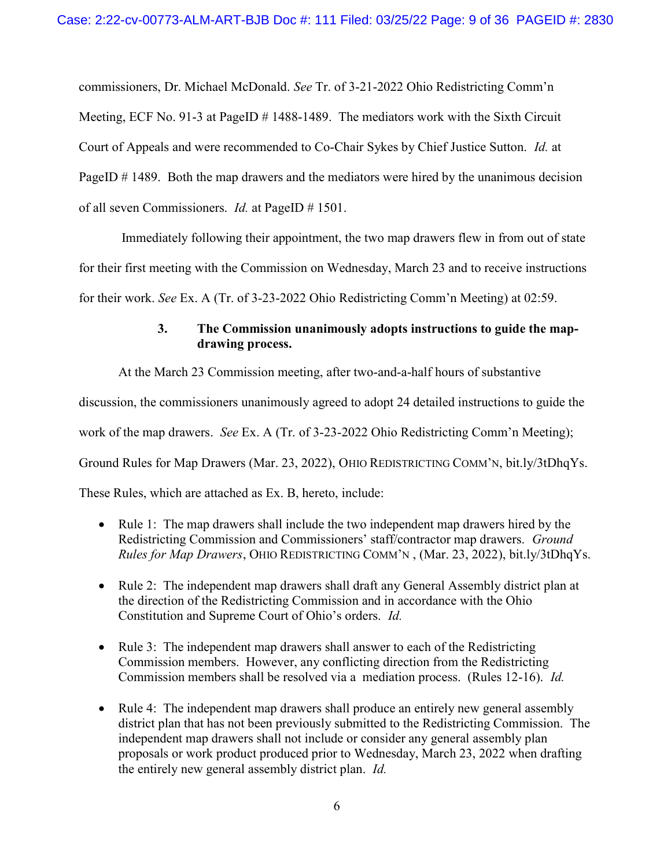commissioners, Dr. Michael McDonald. See Tr. of 3-21-2022 Ohio Redistricting Comm'n Meeting, ECF No. 91-3 at PageID # 1488-1489. The mediators work with the Sixth Circuit Court of Appeals and were recommended to Co-Chair Sykes by Chief Justice Sutton. Id. at PageID # 1489. Both the map drawers and the mediators were hired by the unanimous decision of all seven Commissioners. Id. at PageID # 1501.

 Immediately following their appointment, the two map drawers flew in from out of state for their first meeting with the Commission on Wednesday, March 23 and to receive instructions for their work. See Ex. A (Tr. of 3-23-2022 Ohio Redistricting Comm'n Meeting) at 02:59.

## 3. The Commission unanimously adopts instructions to guide the mapdrawing process.

At the March 23 Commission meeting, after two-and-a-half hours of substantive

discussion, the commissioners unanimously agreed to adopt 24 detailed instructions to guide the

work of the map drawers. See Ex. A (Tr. of 3-23-2022 Ohio Redistricting Comm'n Meeting);

Ground Rules for Map Drawers (Mar. 23, 2022), OHIO REDISTRICTING COMM'N, bit.ly/3tDhqYs.

These Rules, which are attached as Ex. B, hereto, include:

- Rule 1: The map drawers shall include the two independent map drawers hired by the Redistricting Commission and Commissioners' staff/contractor map drawers. Ground Rules for Map Drawers, OHIO REDISTRICTING COMM'N , (Mar. 23, 2022), bit.ly/3tDhqYs.
- Rule 2: The independent map drawers shall draft any General Assembly district plan at the direction of the Redistricting Commission and in accordance with the Ohio Constitution and Supreme Court of Ohio's orders. Id.
- Rule 3: The independent map drawers shall answer to each of the Redistricting Commission members. However, any conflicting direction from the Redistricting Commission members shall be resolved via a mediation process. (Rules 12-16). Id.
- Rule 4: The independent map drawers shall produce an entirely new general assembly district plan that has not been previously submitted to the Redistricting Commission. The independent map drawers shall not include or consider any general assembly plan proposals or work product produced prior to Wednesday, March 23, 2022 when drafting the entirely new general assembly district plan. Id.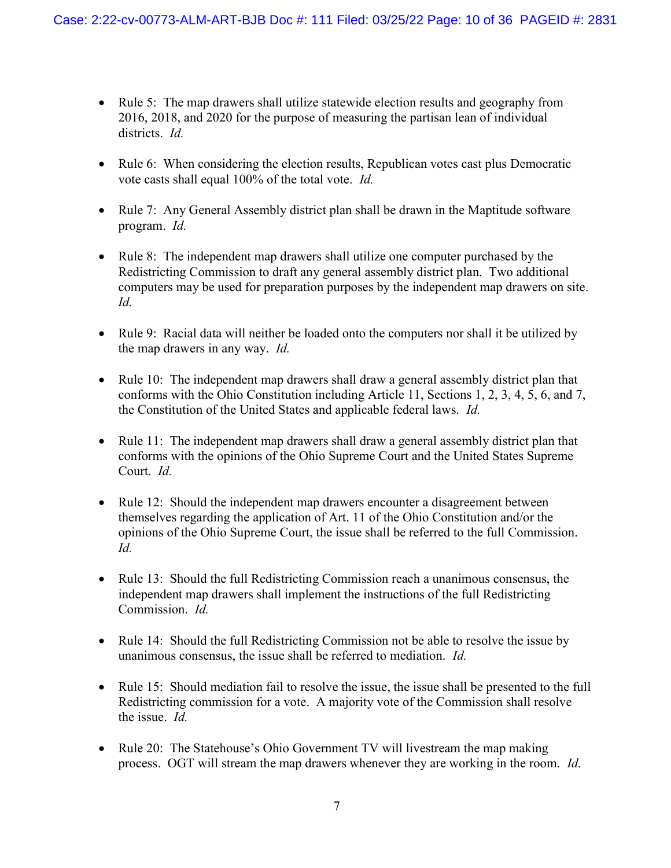- Rule 5: The map drawers shall utilize statewide election results and geography from 2016, 2018, and 2020 for the purpose of measuring the partisan lean of individual districts. *Id.*
- Rule 6: When considering the election results, Republican votes cast plus Democratic vote casts shall equal 100% of the total vote. Id.
- Rule 7: Any General Assembly district plan shall be drawn in the Maptitude software program. Id.
- Rule 8: The independent map drawers shall utilize one computer purchased by the Redistricting Commission to draft any general assembly district plan. Two additional computers may be used for preparation purposes by the independent map drawers on site. Id.
- Rule 9: Racial data will neither be loaded onto the computers nor shall it be utilized by the map drawers in any way. Id.
- Rule 10: The independent map drawers shall draw a general assembly district plan that conforms with the Ohio Constitution including Article 11, Sections 1, 2, 3, 4, 5, 6, and 7, the Constitution of the United States and applicable federal laws. Id.
- Rule 11: The independent map drawers shall draw a general assembly district plan that conforms with the opinions of the Ohio Supreme Court and the United States Supreme Court. Id.
- Rule 12: Should the independent map drawers encounter a disagreement between themselves regarding the application of Art. 11 of the Ohio Constitution and/or the opinions of the Ohio Supreme Court, the issue shall be referred to the full Commission. Id.
- Rule 13: Should the full Redistricting Commission reach a unanimous consensus, the independent map drawers shall implement the instructions of the full Redistricting Commission. Id.
- Rule 14: Should the full Redistricting Commission not be able to resolve the issue by unanimous consensus, the issue shall be referred to mediation. Id.
- Rule 15: Should mediation fail to resolve the issue, the issue shall be presented to the full Redistricting commission for a vote. A majority vote of the Commission shall resolve the issue. Id.
- Rule 20: The Statehouse's Ohio Government TV will livestream the map making process. OGT will stream the map drawers whenever they are working in the room. Id.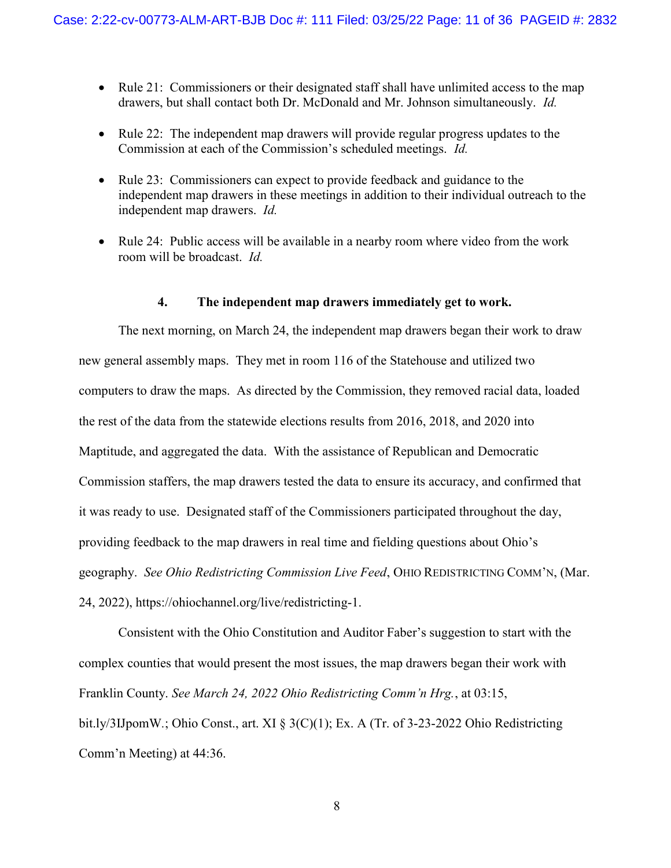- Rule 21: Commissioners or their designated staff shall have unlimited access to the map drawers, but shall contact both Dr. McDonald and Mr. Johnson simultaneously. Id.
- Rule 22: The independent map drawers will provide regular progress updates to the Commission at each of the Commission's scheduled meetings. Id.
- Rule 23: Commissioners can expect to provide feedback and guidance to the independent map drawers in these meetings in addition to their individual outreach to the independent map drawers. Id.
- Rule 24: Public access will be available in a nearby room where video from the work room will be broadcast. Id.

#### 4. The independent map drawers immediately get to work.

The next morning, on March 24, the independent map drawers began their work to draw new general assembly maps. They met in room 116 of the Statehouse and utilized two computers to draw the maps. As directed by the Commission, they removed racial data, loaded the rest of the data from the statewide elections results from 2016, 2018, and 2020 into Maptitude, and aggregated the data. With the assistance of Republican and Democratic Commission staffers, the map drawers tested the data to ensure its accuracy, and confirmed that it was ready to use. Designated staff of the Commissioners participated throughout the day, providing feedback to the map drawers in real time and fielding questions about Ohio's geography. See Ohio Redistricting Commission Live Feed, OHIO REDISTRICTING COMM'N, (Mar. 24, 2022), https://ohiochannel.org/live/redistricting-1.

Consistent with the Ohio Constitution and Auditor Faber's suggestion to start with the complex counties that would present the most issues, the map drawers began their work with Franklin County. See March 24, 2022 Ohio Redistricting Comm'n Hrg., at 03:15, bit.ly/3IJpomW.; Ohio Const., art. XI § 3(C)(1); Ex. A (Tr. of 3-23-2022 Ohio Redistricting Comm'n Meeting) at 44:36.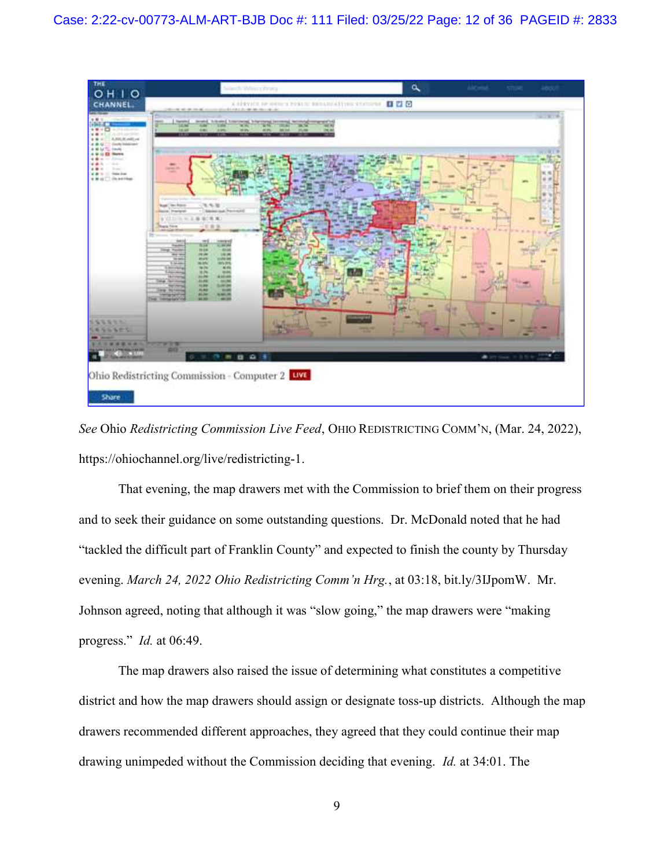

See Ohio Redistricting Commission Live Feed, OHIO REDISTRICTING COMM'N, (Mar. 24, 2022), https://ohiochannel.org/live/redistricting-1.

That evening, the map drawers met with the Commission to brief them on their progress and to seek their guidance on some outstanding questions. Dr. McDonald noted that he had "tackled the difficult part of Franklin County" and expected to finish the county by Thursday evening. March 24, 2022 Ohio Redistricting Comm'n Hrg., at 03:18, bit.ly/3IJpomW. Mr. Johnson agreed, noting that although it was "slow going," the map drawers were "making progress." Id. at 06:49.

The map drawers also raised the issue of determining what constitutes a competitive district and how the map drawers should assign or designate toss-up districts. Although the map drawers recommended different approaches, they agreed that they could continue their map drawing unimpeded without the Commission deciding that evening. Id. at 34:01. The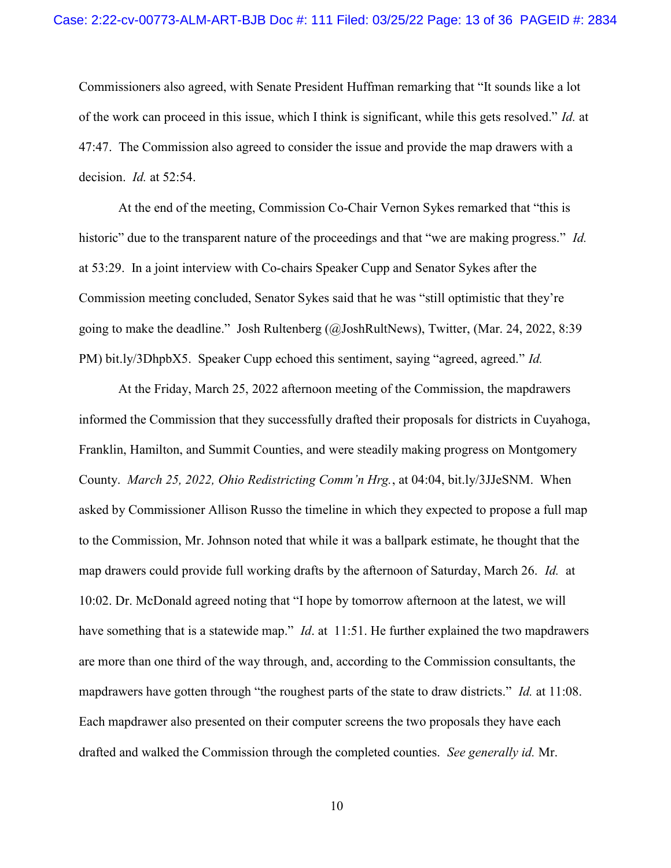Commissioners also agreed, with Senate President Huffman remarking that "It sounds like a lot of the work can proceed in this issue, which I think is significant, while this gets resolved." Id. at 47:47. The Commission also agreed to consider the issue and provide the map drawers with a decision. *Id.* at 52:54.

At the end of the meeting, Commission Co-Chair Vernon Sykes remarked that "this is historic" due to the transparent nature of the proceedings and that "we are making progress." Id. at 53:29. In a joint interview with Co-chairs Speaker Cupp and Senator Sykes after the Commission meeting concluded, Senator Sykes said that he was "still optimistic that they're going to make the deadline." Josh Rultenberg (@JoshRultNews), Twitter, (Mar. 24, 2022, 8:39 PM) bit.ly/3DhpbX5. Speaker Cupp echoed this sentiment, saying "agreed, agreed." Id.

At the Friday, March 25, 2022 afternoon meeting of the Commission, the mapdrawers informed the Commission that they successfully drafted their proposals for districts in Cuyahoga, Franklin, Hamilton, and Summit Counties, and were steadily making progress on Montgomery County. March 25, 2022, Ohio Redistricting Comm'n Hrg., at 04:04, bit.ly/3JJeSNM. When asked by Commissioner Allison Russo the timeline in which they expected to propose a full map to the Commission, Mr. Johnson noted that while it was a ballpark estimate, he thought that the map drawers could provide full working drafts by the afternoon of Saturday, March 26. Id. at 10:02. Dr. McDonald agreed noting that "I hope by tomorrow afternoon at the latest, we will have something that is a statewide map." *Id.* at 11:51. He further explained the two mapdrawers are more than one third of the way through, and, according to the Commission consultants, the mapdrawers have gotten through "the roughest parts of the state to draw districts." Id. at 11:08. Each mapdrawer also presented on their computer screens the two proposals they have each drafted and walked the Commission through the completed counties. See generally id. Mr.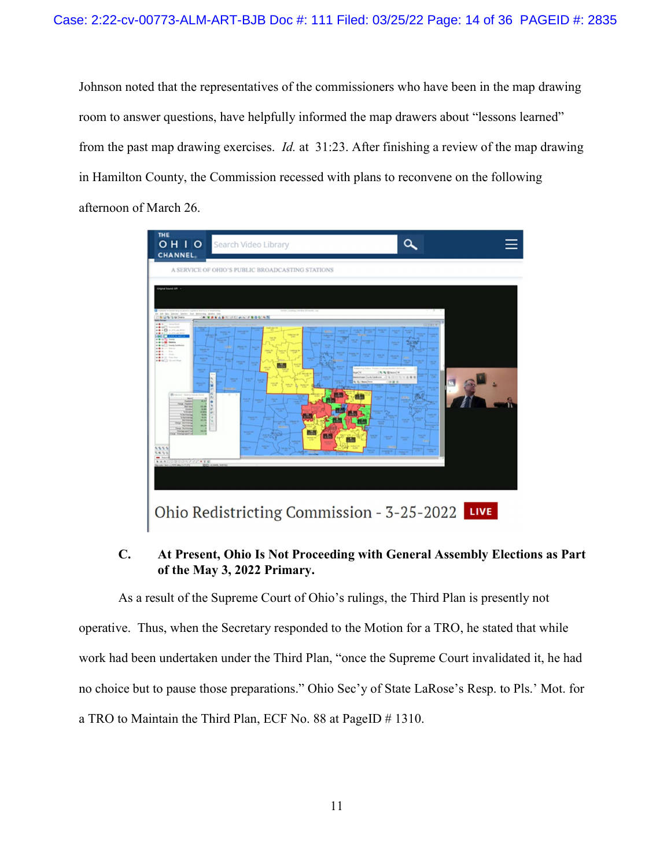Johnson noted that the representatives of the commissioners who have been in the map drawing room to answer questions, have helpfully informed the map drawers about "lessons learned" from the past map drawing exercises. Id. at 31:23. After finishing a review of the map drawing in Hamilton County, the Commission recessed with plans to reconvene on the following afternoon of March 26.



### C. At Present, Ohio Is Not Proceeding with General Assembly Elections as Part of the May 3, 2022 Primary.

As a result of the Supreme Court of Ohio's rulings, the Third Plan is presently not operative. Thus, when the Secretary responded to the Motion for a TRO, he stated that while work had been undertaken under the Third Plan, "once the Supreme Court invalidated it, he had no choice but to pause those preparations." Ohio Sec'y of State LaRose's Resp. to Pls.' Mot. for a TRO to Maintain the Third Plan, ECF No. 88 at PageID # 1310.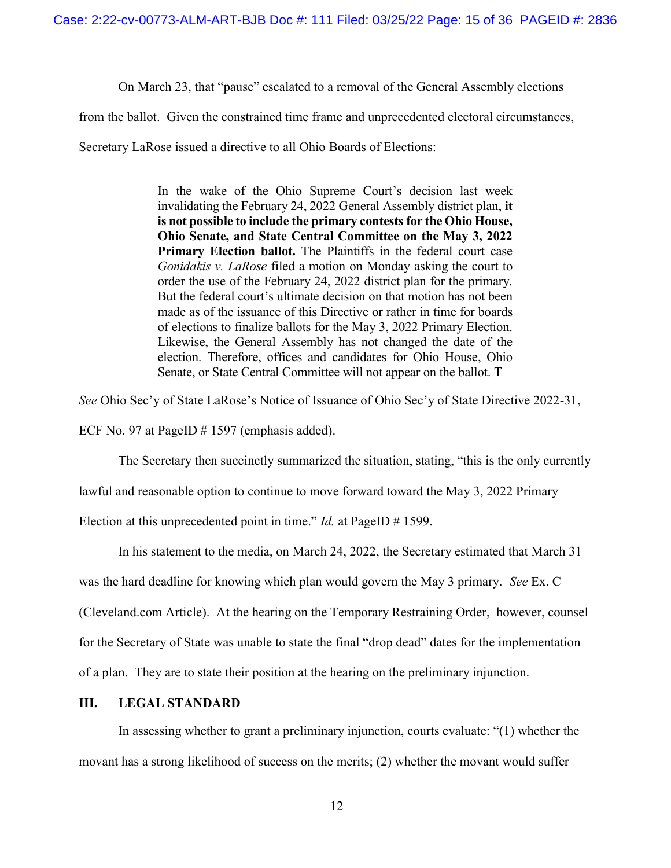On March 23, that "pause" escalated to a removal of the General Assembly elections

from the ballot. Given the constrained time frame and unprecedented electoral circumstances,

Secretary LaRose issued a directive to all Ohio Boards of Elections:

In the wake of the Ohio Supreme Court's decision last week invalidating the February 24, 2022 General Assembly district plan, it is not possible to include the primary contests for the Ohio House, Ohio Senate, and State Central Committee on the May 3, 2022 Primary Election ballot. The Plaintiffs in the federal court case Gonidakis v. LaRose filed a motion on Monday asking the court to order the use of the February 24, 2022 district plan for the primary. But the federal court's ultimate decision on that motion has not been made as of the issuance of this Directive or rather in time for boards of elections to finalize ballots for the May 3, 2022 Primary Election. Likewise, the General Assembly has not changed the date of the election. Therefore, offices and candidates for Ohio House, Ohio Senate, or State Central Committee will not appear on the ballot. T

See Ohio Sec'y of State LaRose's Notice of Issuance of Ohio Sec'y of State Directive 2022-31,

ECF No. 97 at PageID # 1597 (emphasis added).

The Secretary then succinctly summarized the situation, stating, "this is the only currently

lawful and reasonable option to continue to move forward toward the May 3, 2022 Primary

Election at this unprecedented point in time." *Id.* at PageID  $\#$  1599.

In his statement to the media, on March 24, 2022, the Secretary estimated that March 31

was the hard deadline for knowing which plan would govern the May 3 primary. See Ex. C

(Cleveland.com Article). At the hearing on the Temporary Restraining Order, however, counsel

for the Secretary of State was unable to state the final "drop dead" dates for the implementation

of a plan. They are to state their position at the hearing on the preliminary injunction.

#### III. LEGAL STANDARD

In assessing whether to grant a preliminary injunction, courts evaluate: "(1) whether the movant has a strong likelihood of success on the merits; (2) whether the movant would suffer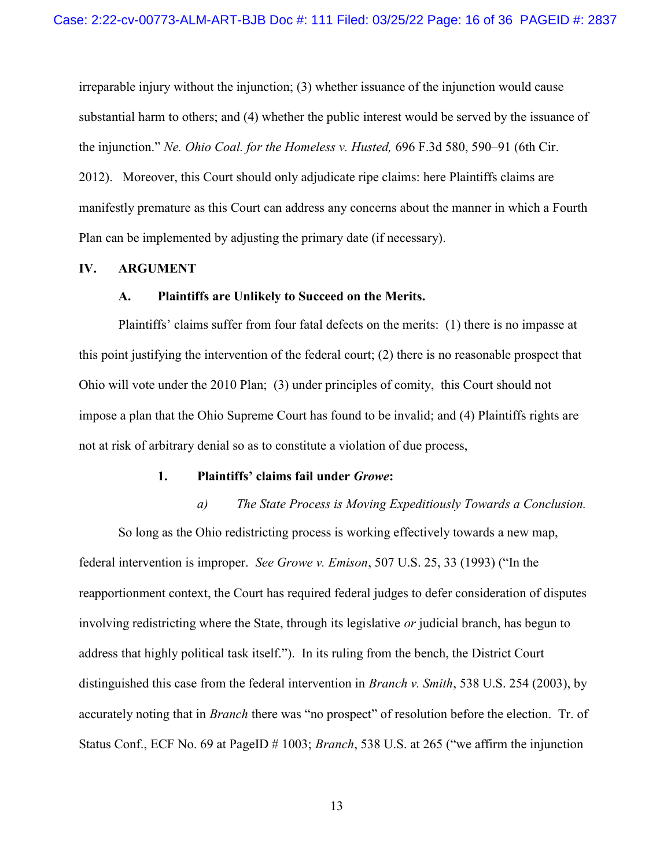irreparable injury without the injunction; (3) whether issuance of the injunction would cause substantial harm to others; and (4) whether the public interest would be served by the issuance of the injunction." Ne. Ohio Coal. for the Homeless v. Husted, 696 F.3d 580, 590–91 (6th Cir.

2012). Moreover, this Court should only adjudicate ripe claims: here Plaintiffs claims are manifestly premature as this Court can address any concerns about the manner in which a Fourth Plan can be implemented by adjusting the primary date (if necessary).

#### IV. ARGUMENT

#### A. Plaintiffs are Unlikely to Succeed on the Merits.

Plaintiffs' claims suffer from four fatal defects on the merits: (1) there is no impasse at this point justifying the intervention of the federal court; (2) there is no reasonable prospect that Ohio will vote under the 2010 Plan; (3) under principles of comity, this Court should not impose a plan that the Ohio Supreme Court has found to be invalid; and (4) Plaintiffs rights are not at risk of arbitrary denial so as to constitute a violation of due process,

#### 1. Plaintiffs' claims fail under Growe:

a) The State Process is Moving Expeditiously Towards a Conclusion. So long as the Ohio redistricting process is working effectively towards a new map, federal intervention is improper. See Growe v. Emison, 507 U.S. 25, 33 (1993) ("In the reapportionment context, the Court has required federal judges to defer consideration of disputes involving redistricting where the State, through its legislative or judicial branch, has begun to address that highly political task itself."). In its ruling from the bench, the District Court distinguished this case from the federal intervention in Branch v. Smith, 538 U.S. 254 (2003), by accurately noting that in Branch there was "no prospect" of resolution before the election. Tr. of Status Conf., ECF No. 69 at PageID # 1003; *Branch*, 538 U.S. at 265 ("we affirm the injunction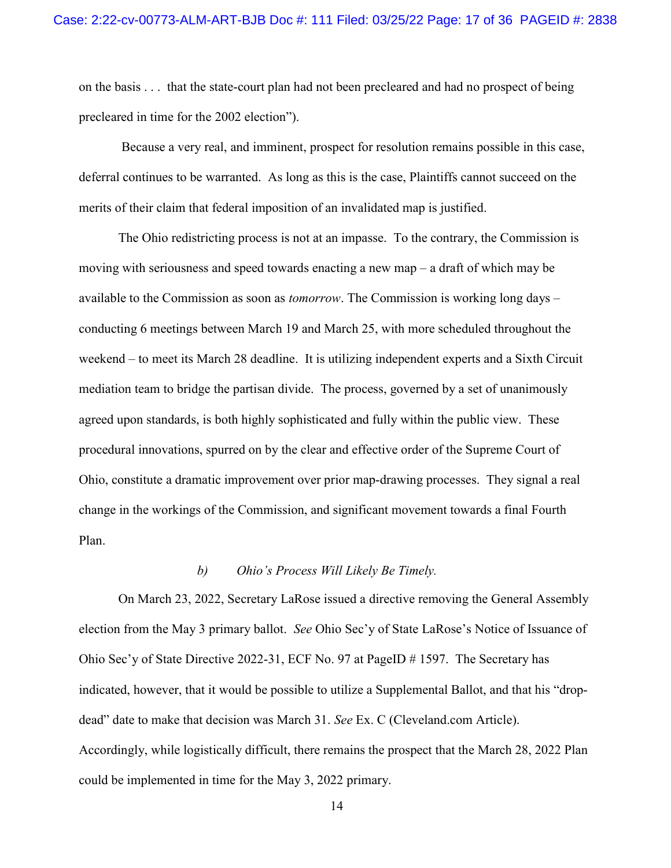on the basis . . . that the state-court plan had not been precleared and had no prospect of being precleared in time for the 2002 election").

 Because a very real, and imminent, prospect for resolution remains possible in this case, deferral continues to be warranted. As long as this is the case, Plaintiffs cannot succeed on the merits of their claim that federal imposition of an invalidated map is justified.

The Ohio redistricting process is not at an impasse. To the contrary, the Commission is moving with seriousness and speed towards enacting a new map – a draft of which may be available to the Commission as soon as *tomorrow*. The Commission is working long days – conducting 6 meetings between March 19 and March 25, with more scheduled throughout the weekend – to meet its March 28 deadline. It is utilizing independent experts and a Sixth Circuit mediation team to bridge the partisan divide. The process, governed by a set of unanimously agreed upon standards, is both highly sophisticated and fully within the public view. These procedural innovations, spurred on by the clear and effective order of the Supreme Court of Ohio, constitute a dramatic improvement over prior map-drawing processes. They signal a real change in the workings of the Commission, and significant movement towards a final Fourth Plan.

#### b) Ohio's Process Will Likely Be Timely.

On March 23, 2022, Secretary LaRose issued a directive removing the General Assembly election from the May 3 primary ballot. See Ohio Sec'y of State LaRose's Notice of Issuance of Ohio Sec'y of State Directive 2022-31, ECF No. 97 at PageID # 1597. The Secretary has indicated, however, that it would be possible to utilize a Supplemental Ballot, and that his "dropdead" date to make that decision was March 31. See Ex. C (Cleveland.com Article). Accordingly, while logistically difficult, there remains the prospect that the March 28, 2022 Plan could be implemented in time for the May 3, 2022 primary.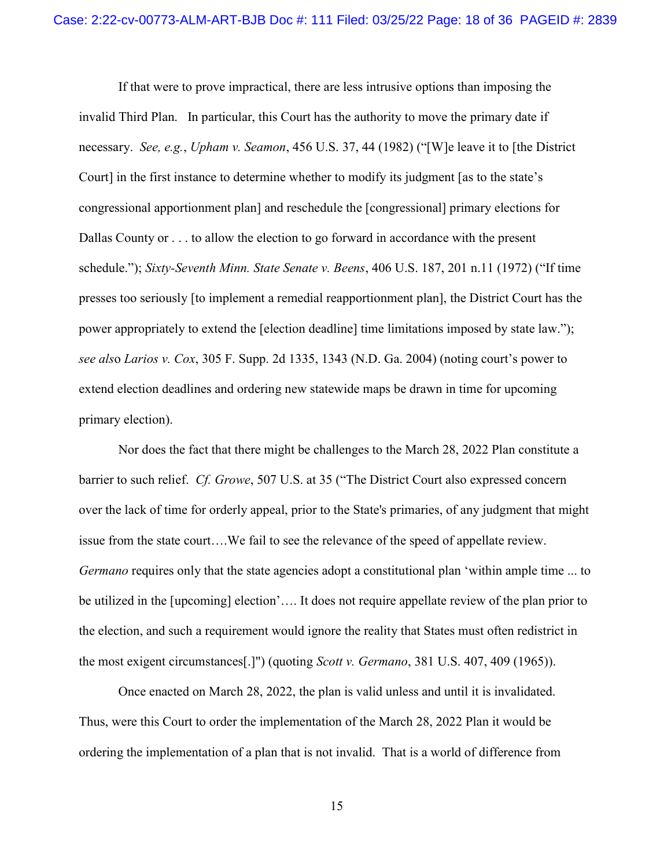If that were to prove impractical, there are less intrusive options than imposing the invalid Third Plan. In particular, this Court has the authority to move the primary date if necessary. See, e.g., Upham v. Seamon, 456 U.S. 37, 44 (1982) ("[W]e leave it to [the District Court] in the first instance to determine whether to modify its judgment [as to the state's congressional apportionment plan] and reschedule the [congressional] primary elections for Dallas County or . . . to allow the election to go forward in accordance with the present schedule."); Sixty-Seventh Minn. State Senate v. Beens, 406 U.S. 187, 201 n.11 (1972) ("If time presses too seriously [to implement a remedial reapportionment plan], the District Court has the power appropriately to extend the [election deadline] time limitations imposed by state law."); see also Larios v. Cox, 305 F. Supp. 2d 1335, 1343 (N.D. Ga. 2004) (noting court's power to extend election deadlines and ordering new statewide maps be drawn in time for upcoming primary election).

Nor does the fact that there might be challenges to the March 28, 2022 Plan constitute a barrier to such relief. Cf. Growe, 507 U.S. at 35 ("The District Court also expressed concern over the lack of time for orderly appeal, prior to the State's primaries, of any judgment that might issue from the state court….We fail to see the relevance of the speed of appellate review. Germano requires only that the state agencies adopt a constitutional plan 'within ample time ... to be utilized in the [upcoming] election'…. It does not require appellate review of the plan prior to the election, and such a requirement would ignore the reality that States must often redistrict in the most exigent circumstances[.]") (quoting Scott v. Germano, 381 U.S. 407, 409 (1965)).

Once enacted on March 28, 2022, the plan is valid unless and until it is invalidated. Thus, were this Court to order the implementation of the March 28, 2022 Plan it would be ordering the implementation of a plan that is not invalid. That is a world of difference from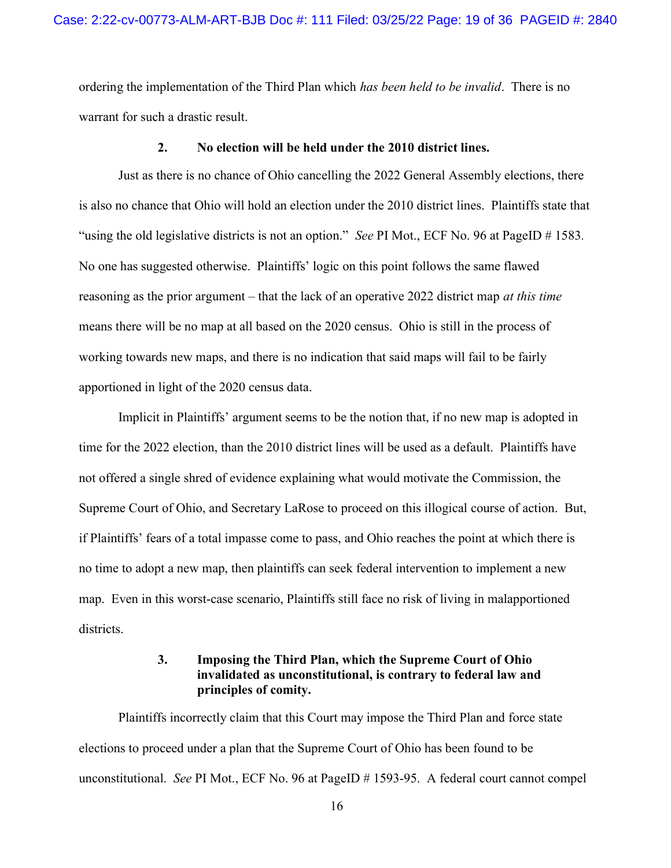ordering the implementation of the Third Plan which has been held to be invalid. There is no warrant for such a drastic result.

#### 2. No election will be held under the 2010 district lines.

Just as there is no chance of Ohio cancelling the 2022 General Assembly elections, there is also no chance that Ohio will hold an election under the 2010 district lines. Plaintiffs state that "using the old legislative districts is not an option." See PI Mot., ECF No. 96 at PageID # 1583. No one has suggested otherwise. Plaintiffs' logic on this point follows the same flawed reasoning as the prior argument – that the lack of an operative 2022 district map at this time means there will be no map at all based on the 2020 census. Ohio is still in the process of working towards new maps, and there is no indication that said maps will fail to be fairly apportioned in light of the 2020 census data.

Implicit in Plaintiffs' argument seems to be the notion that, if no new map is adopted in time for the 2022 election, than the 2010 district lines will be used as a default. Plaintiffs have not offered a single shred of evidence explaining what would motivate the Commission, the Supreme Court of Ohio, and Secretary LaRose to proceed on this illogical course of action. But, if Plaintiffs' fears of a total impasse come to pass, and Ohio reaches the point at which there is no time to adopt a new map, then plaintiffs can seek federal intervention to implement a new map. Even in this worst-case scenario, Plaintiffs still face no risk of living in malapportioned districts.

### 3. Imposing the Third Plan, which the Supreme Court of Ohio invalidated as unconstitutional, is contrary to federal law and principles of comity.

Plaintiffs incorrectly claim that this Court may impose the Third Plan and force state elections to proceed under a plan that the Supreme Court of Ohio has been found to be unconstitutional. See PI Mot., ECF No. 96 at PageID # 1593-95. A federal court cannot compel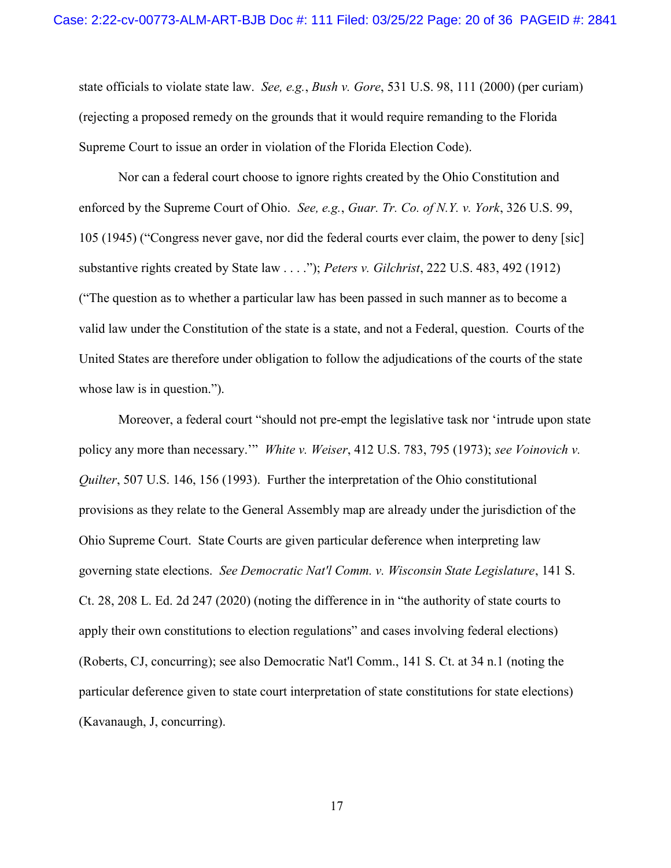state officials to violate state law. See, e.g., Bush v. Gore, 531 U.S. 98, 111 (2000) (per curiam) (rejecting a proposed remedy on the grounds that it would require remanding to the Florida Supreme Court to issue an order in violation of the Florida Election Code).

Nor can a federal court choose to ignore rights created by the Ohio Constitution and enforced by the Supreme Court of Ohio. See, e.g., Guar. Tr. Co. of N.Y. v. York, 326 U.S. 99, 105 (1945) ("Congress never gave, nor did the federal courts ever claim, the power to deny [sic] substantive rights created by State law . . . ."); *Peters v. Gilchrist*, 222 U.S. 483, 492 (1912) ("The question as to whether a particular law has been passed in such manner as to become a valid law under the Constitution of the state is a state, and not a Federal, question. Courts of the United States are therefore under obligation to follow the adjudications of the courts of the state whose law is in question.").

Moreover, a federal court "should not pre-empt the legislative task nor 'intrude upon state policy any more than necessary."" White v. Weiser, 412 U.S. 783, 795 (1973); see Voinovich v. Quilter, 507 U.S. 146, 156 (1993). Further the interpretation of the Ohio constitutional provisions as they relate to the General Assembly map are already under the jurisdiction of the Ohio Supreme Court. State Courts are given particular deference when interpreting law governing state elections. See Democratic Nat'l Comm. v. Wisconsin State Legislature, 141 S. Ct. 28, 208 L. Ed. 2d 247 (2020) (noting the difference in in "the authority of state courts to apply their own constitutions to election regulations" and cases involving federal elections) (Roberts, CJ, concurring); see also Democratic Nat'l Comm., 141 S. Ct. at 34 n.1 (noting the particular deference given to state court interpretation of state constitutions for state elections) (Kavanaugh, J, concurring).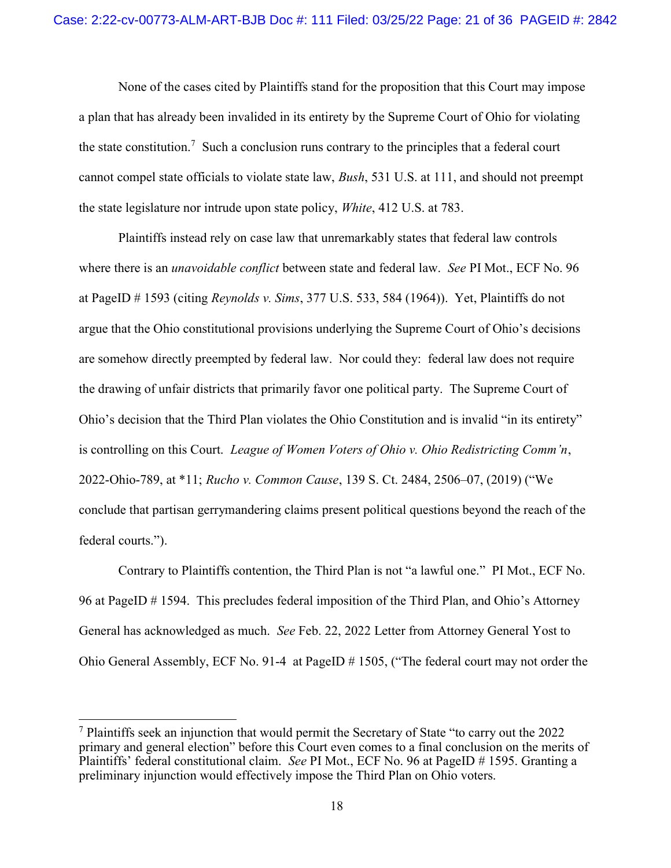None of the cases cited by Plaintiffs stand for the proposition that this Court may impose a plan that has already been invalided in its entirety by the Supreme Court of Ohio for violating the state constitution.<sup>7</sup> Such a conclusion runs contrary to the principles that a federal court cannot compel state officials to violate state law, Bush, 531 U.S. at 111, and should not preempt the state legislature nor intrude upon state policy, White, 412 U.S. at 783.

Plaintiffs instead rely on case law that unremarkably states that federal law controls where there is an *unavoidable conflict* between state and federal law. See PI Mot., ECF No. 96 at PageID # 1593 (citing Reynolds v. Sims, 377 U.S. 533, 584 (1964)). Yet, Plaintiffs do not argue that the Ohio constitutional provisions underlying the Supreme Court of Ohio's decisions are somehow directly preempted by federal law. Nor could they: federal law does not require the drawing of unfair districts that primarily favor one political party. The Supreme Court of Ohio's decision that the Third Plan violates the Ohio Constitution and is invalid "in its entirety" is controlling on this Court. League of Women Voters of Ohio v. Ohio Redistricting Comm'n, 2022-Ohio-789, at \*11; Rucho v. Common Cause, 139 S. Ct. 2484, 2506–07, (2019) ("We conclude that partisan gerrymandering claims present political questions beyond the reach of the federal courts.").

Contrary to Plaintiffs contention, the Third Plan is not "a lawful one." PI Mot., ECF No. 96 at PageID # 1594. This precludes federal imposition of the Third Plan, and Ohio's Attorney General has acknowledged as much. See Feb. 22, 2022 Letter from Attorney General Yost to Ohio General Assembly, ECF No. 91-4 at PageID # 1505, ("The federal court may not order the

<sup>&</sup>lt;sup>7</sup> Plaintiffs seek an injunction that would permit the Secretary of State "to carry out the 2022 primary and general election" before this Court even comes to a final conclusion on the merits of Plaintiffs' federal constitutional claim. See PI Mot., ECF No. 96 at PageID # 1595. Granting a preliminary injunction would effectively impose the Third Plan on Ohio voters.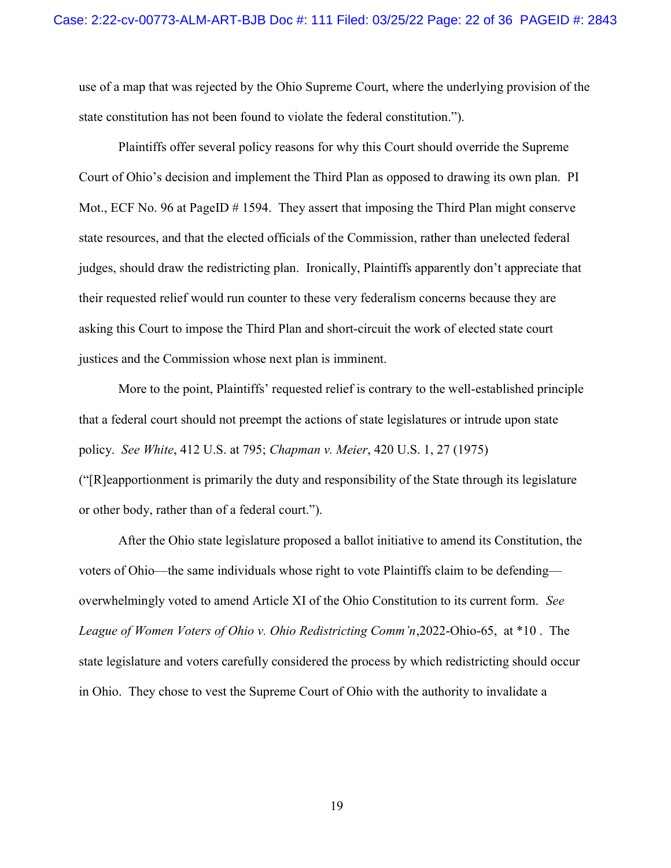use of a map that was rejected by the Ohio Supreme Court, where the underlying provision of the state constitution has not been found to violate the federal constitution.").

Plaintiffs offer several policy reasons for why this Court should override the Supreme Court of Ohio's decision and implement the Third Plan as opposed to drawing its own plan. PI Mot., ECF No. 96 at PageID # 1594. They assert that imposing the Third Plan might conserve state resources, and that the elected officials of the Commission, rather than unelected federal judges, should draw the redistricting plan. Ironically, Plaintiffs apparently don't appreciate that their requested relief would run counter to these very federalism concerns because they are asking this Court to impose the Third Plan and short-circuit the work of elected state court justices and the Commission whose next plan is imminent.

More to the point, Plaintiffs' requested relief is contrary to the well-established principle that a federal court should not preempt the actions of state legislatures or intrude upon state policy. See White, 412 U.S. at 795; Chapman v. Meier, 420 U.S. 1, 27 (1975) ("[R]eapportionment is primarily the duty and responsibility of the State through its legislature or other body, rather than of a federal court.").

After the Ohio state legislature proposed a ballot initiative to amend its Constitution, the voters of Ohio—the same individuals whose right to vote Plaintiffs claim to be defending overwhelmingly voted to amend Article XI of the Ohio Constitution to its current form. See League of Women Voters of Ohio v. Ohio Redistricting Comm'n,2022-Ohio-65, at \*10 . The state legislature and voters carefully considered the process by which redistricting should occur in Ohio. They chose to vest the Supreme Court of Ohio with the authority to invalidate a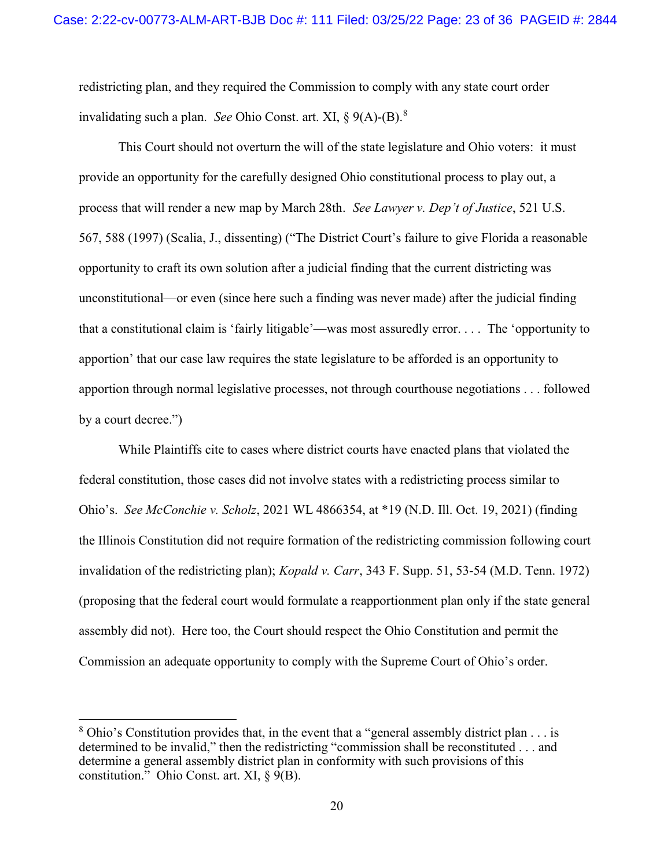redistricting plan, and they required the Commission to comply with any state court order invalidating such a plan. See Ohio Const. art. XI,  $\S$  9(A)-(B).<sup>8</sup>

This Court should not overturn the will of the state legislature and Ohio voters: it must provide an opportunity for the carefully designed Ohio constitutional process to play out, a process that will render a new map by March 28th. See Lawyer v. Dep't of Justice, 521 U.S. 567, 588 (1997) (Scalia, J., dissenting) ("The District Court's failure to give Florida a reasonable opportunity to craft its own solution after a judicial finding that the current districting was unconstitutional—or even (since here such a finding was never made) after the judicial finding that a constitutional claim is 'fairly litigable'—was most assuredly error. . . . The 'opportunity to apportion' that our case law requires the state legislature to be afforded is an opportunity to apportion through normal legislative processes, not through courthouse negotiations . . . followed by a court decree.")

While Plaintiffs cite to cases where district courts have enacted plans that violated the federal constitution, those cases did not involve states with a redistricting process similar to Ohio's. See McConchie v. Scholz, 2021 WL 4866354, at \*19 (N.D. Ill. Oct. 19, 2021) (finding the Illinois Constitution did not require formation of the redistricting commission following court invalidation of the redistricting plan); Kopald v. Carr, 343 F. Supp. 51, 53-54 (M.D. Tenn. 1972) (proposing that the federal court would formulate a reapportionment plan only if the state general assembly did not). Here too, the Court should respect the Ohio Constitution and permit the Commission an adequate opportunity to comply with the Supreme Court of Ohio's order.

 $8$  Ohio's Constitution provides that, in the event that a "general assembly district plan  $\dots$  is determined to be invalid," then the redistricting "commission shall be reconstituted . . . and determine a general assembly district plan in conformity with such provisions of this constitution." Ohio Const. art. XI,  $\S$  9(B).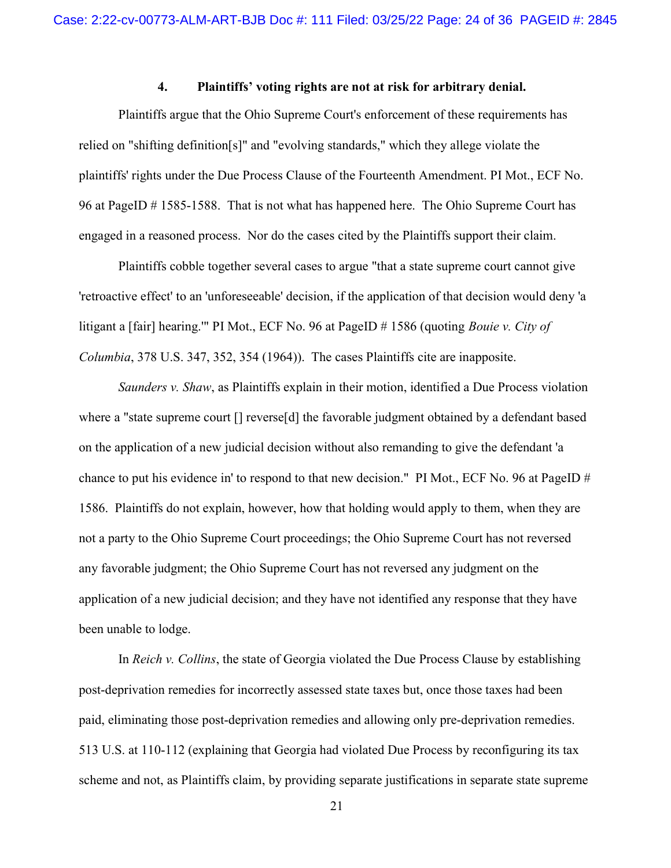#### 4. Plaintiffs' voting rights are not at risk for arbitrary denial.

 Plaintiffs argue that the Ohio Supreme Court's enforcement of these requirements has relied on "shifting definition[s]" and "evolving standards," which they allege violate the plaintiffs' rights under the Due Process Clause of the Fourteenth Amendment. PI Mot., ECF No. 96 at PageID # 1585-1588. That is not what has happened here. The Ohio Supreme Court has engaged in a reasoned process. Nor do the cases cited by the Plaintiffs support their claim.

Plaintiffs cobble together several cases to argue "that a state supreme court cannot give 'retroactive effect' to an 'unforeseeable' decision, if the application of that decision would deny 'a litigant a [fair] hearing." PI Mot., ECF No. 96 at PageID # 1586 (quoting *Bouie v. City of* Columbia, 378 U.S. 347, 352, 354 (1964)). The cases Plaintiffs cite are inapposite.

Saunders v. Shaw, as Plaintiffs explain in their motion, identified a Due Process violation where a "state supreme court [] reverse[d] the favorable judgment obtained by a defendant based on the application of a new judicial decision without also remanding to give the defendant 'a chance to put his evidence in' to respond to that new decision." PI Mot., ECF No. 96 at PageID # 1586. Plaintiffs do not explain, however, how that holding would apply to them, when they are not a party to the Ohio Supreme Court proceedings; the Ohio Supreme Court has not reversed any favorable judgment; the Ohio Supreme Court has not reversed any judgment on the application of a new judicial decision; and they have not identified any response that they have been unable to lodge.

In Reich v. Collins, the state of Georgia violated the Due Process Clause by establishing post-deprivation remedies for incorrectly assessed state taxes but, once those taxes had been paid, eliminating those post-deprivation remedies and allowing only pre-deprivation remedies. 513 U.S. at 110-112 (explaining that Georgia had violated Due Process by reconfiguring its tax scheme and not, as Plaintiffs claim, by providing separate justifications in separate state supreme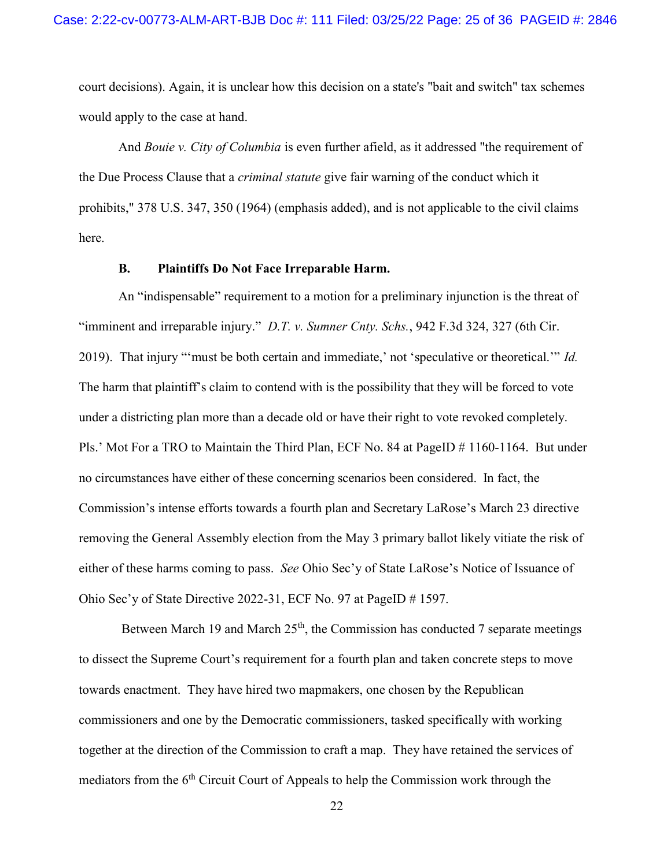court decisions). Again, it is unclear how this decision on a state's "bait and switch" tax schemes would apply to the case at hand.

And Bouie v. City of Columbia is even further afield, as it addressed "the requirement of the Due Process Clause that a criminal statute give fair warning of the conduct which it prohibits," 378 U.S. 347, 350 (1964) (emphasis added), and is not applicable to the civil claims here.

#### B. Plaintiffs Do Not Face Irreparable Harm.

An "indispensable" requirement to a motion for a preliminary injunction is the threat of "imminent and irreparable injury." D.T. v. Sumner Cnty. Schs., 942 F.3d 324, 327 (6th Cir. 2019). That injury "'must be both certain and immediate,' not 'speculative or theoretical.'" Id. The harm that plaintiff's claim to contend with is the possibility that they will be forced to vote under a districting plan more than a decade old or have their right to vote revoked completely. Pls.' Mot For a TRO to Maintain the Third Plan, ECF No. 84 at PageID # 1160-1164. But under no circumstances have either of these concerning scenarios been considered. In fact, the Commission's intense efforts towards a fourth plan and Secretary LaRose's March 23 directive removing the General Assembly election from the May 3 primary ballot likely vitiate the risk of either of these harms coming to pass. See Ohio Sec'y of State LaRose's Notice of Issuance of Ohio Sec'y of State Directive 2022-31, ECF No. 97 at PageID # 1597.

Between March 19 and March  $25<sup>th</sup>$ , the Commission has conducted 7 separate meetings to dissect the Supreme Court's requirement for a fourth plan and taken concrete steps to move towards enactment. They have hired two mapmakers, one chosen by the Republican commissioners and one by the Democratic commissioners, tasked specifically with working together at the direction of the Commission to craft a map. They have retained the services of mediators from the  $6<sup>th</sup>$  Circuit Court of Appeals to help the Commission work through the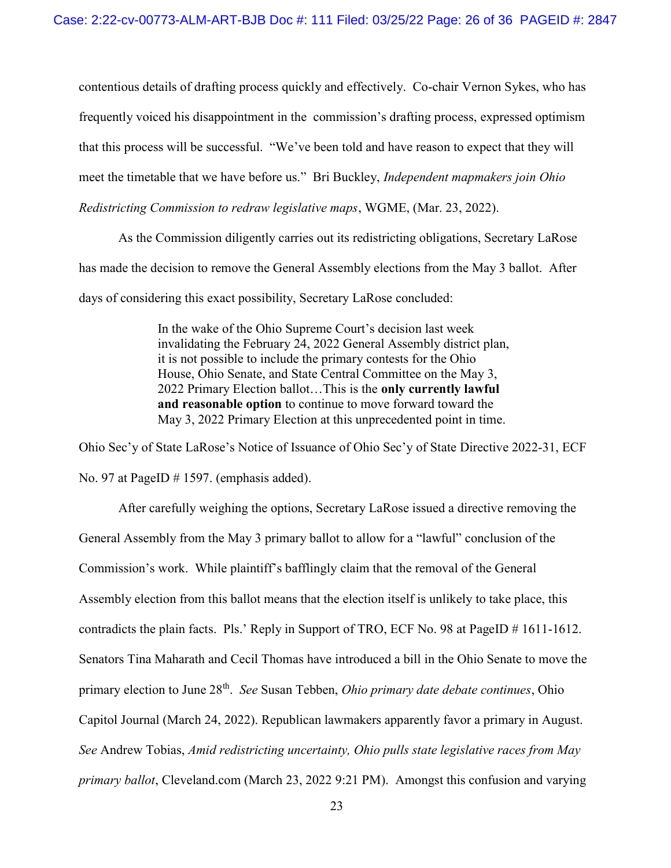contentious details of drafting process quickly and effectively. Co-chair Vernon Sykes, who has frequently voiced his disappointment in the commission's drafting process, expressed optimism that this process will be successful. "We've been told and have reason to expect that they will meet the timetable that we have before us." Bri Buckley, Independent mapmakers join Ohio Redistricting Commission to redraw legislative maps, WGME, (Mar. 23, 2022).

As the Commission diligently carries out its redistricting obligations, Secretary LaRose has made the decision to remove the General Assembly elections from the May 3 ballot. After days of considering this exact possibility, Secretary LaRose concluded:

> In the wake of the Ohio Supreme Court's decision last week invalidating the February 24, 2022 General Assembly district plan, it is not possible to include the primary contests for the Ohio House, Ohio Senate, and State Central Committee on the May 3, 2022 Primary Election ballot…This is the only currently lawful and reasonable option to continue to move forward toward the May 3, 2022 Primary Election at this unprecedented point in time.

Ohio Sec'y of State LaRose's Notice of Issuance of Ohio Sec'y of State Directive 2022-31, ECF No. 97 at PageID # 1597. (emphasis added).

After carefully weighing the options, Secretary LaRose issued a directive removing the General Assembly from the May 3 primary ballot to allow for a "lawful" conclusion of the Commission's work. While plaintiff's bafflingly claim that the removal of the General Assembly election from this ballot means that the election itself is unlikely to take place, this contradicts the plain facts. Pls.' Reply in Support of TRO, ECF No. 98 at PageID # 1611-1612. Senators Tina Maharath and Cecil Thomas have introduced a bill in the Ohio Senate to move the primary election to June 28<sup>th</sup>. See Susan Tebben, *Ohio primary date debate continues*, Ohio Capitol Journal (March 24, 2022). Republican lawmakers apparently favor a primary in August. See Andrew Tobias, Amid redistricting uncertainty, Ohio pulls state legislative races from May primary ballot, Cleveland.com (March 23, 2022 9:21 PM). Amongst this confusion and varying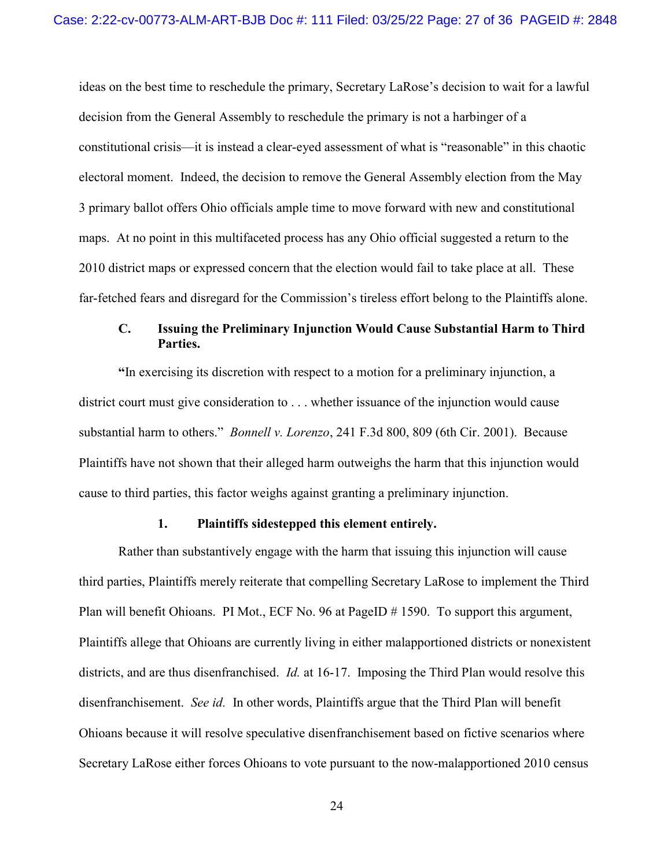ideas on the best time to reschedule the primary, Secretary LaRose's decision to wait for a lawful decision from the General Assembly to reschedule the primary is not a harbinger of a constitutional crisis—it is instead a clear-eyed assessment of what is "reasonable" in this chaotic electoral moment. Indeed, the decision to remove the General Assembly election from the May 3 primary ballot offers Ohio officials ample time to move forward with new and constitutional maps. At no point in this multifaceted process has any Ohio official suggested a return to the 2010 district maps or expressed concern that the election would fail to take place at all. These far-fetched fears and disregard for the Commission's tireless effort belong to the Plaintiffs alone.

## C. Issuing the Preliminary Injunction Would Cause Substantial Harm to Third Parties.

"In exercising its discretion with respect to a motion for a preliminary injunction, a district court must give consideration to . . . whether issuance of the injunction would cause substantial harm to others." *Bonnell v. Lorenzo*, 241 F.3d 800, 809 (6th Cir. 2001). Because Plaintiffs have not shown that their alleged harm outweighs the harm that this injunction would cause to third parties, this factor weighs against granting a preliminary injunction.

#### 1. Plaintiffs sidestepped this element entirely.

 Rather than substantively engage with the harm that issuing this injunction will cause third parties, Plaintiffs merely reiterate that compelling Secretary LaRose to implement the Third Plan will benefit Ohioans. PI Mot., ECF No. 96 at PageID # 1590. To support this argument, Plaintiffs allege that Ohioans are currently living in either malapportioned districts or nonexistent districts, and are thus disenfranchised. *Id.* at 16-17. Imposing the Third Plan would resolve this disenfranchisement. See id. In other words, Plaintiffs argue that the Third Plan will benefit Ohioans because it will resolve speculative disenfranchisement based on fictive scenarios where Secretary LaRose either forces Ohioans to vote pursuant to the now-malapportioned 2010 census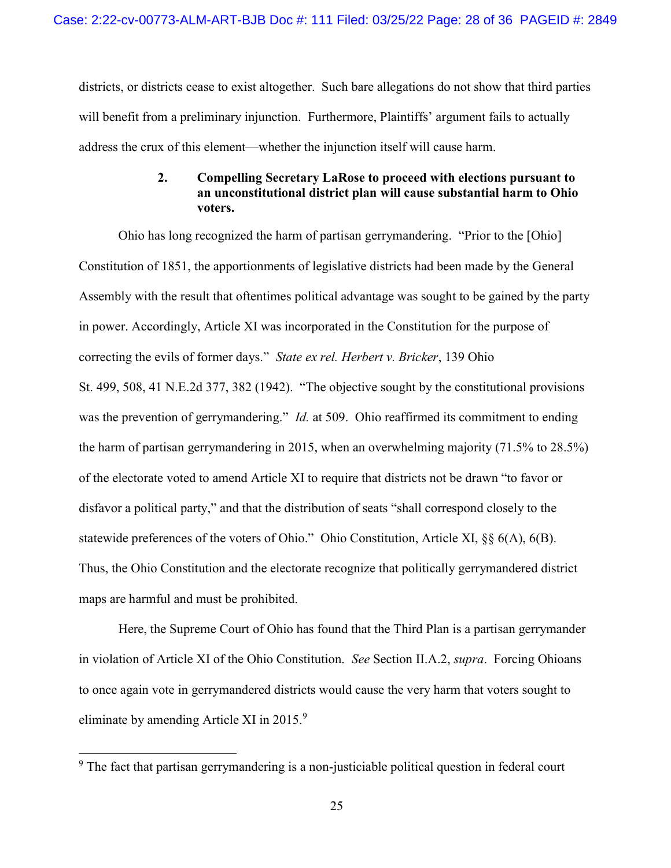districts, or districts cease to exist altogether. Such bare allegations do not show that third parties will benefit from a preliminary injunction. Furthermore, Plaintiffs' argument fails to actually address the crux of this element—whether the injunction itself will cause harm.

### 2. Compelling Secretary LaRose to proceed with elections pursuant to an unconstitutional district plan will cause substantial harm to Ohio voters.

 Ohio has long recognized the harm of partisan gerrymandering. "Prior to the [Ohio] Constitution of 1851, the apportionments of legislative districts had been made by the General Assembly with the result that oftentimes political advantage was sought to be gained by the party in power. Accordingly, Article XI was incorporated in the Constitution for the purpose of correcting the evils of former days." State ex rel. Herbert v. Bricker, 139 Ohio St. 499, 508, 41 N.E.2d 377, 382 (1942). "The objective sought by the constitutional provisions was the prevention of gerrymandering." *Id.* at 509. Ohio reaffirmed its commitment to ending the harm of partisan gerrymandering in 2015, when an overwhelming majority (71.5% to 28.5%) of the electorate voted to amend Article XI to require that districts not be drawn "to favor or disfavor a political party," and that the distribution of seats "shall correspond closely to the statewide preferences of the voters of Ohio." Ohio Constitution, Article XI, §§ 6(A), 6(B). Thus, the Ohio Constitution and the electorate recognize that politically gerrymandered district maps are harmful and must be prohibited.

 Here, the Supreme Court of Ohio has found that the Third Plan is a partisan gerrymander in violation of Article XI of the Ohio Constitution. See Section II.A.2, supra. Forcing Ohioans to once again vote in gerrymandered districts would cause the very harm that voters sought to eliminate by amending Article XI in 2015.<sup>9</sup>

<sup>&</sup>lt;sup>9</sup> The fact that partisan gerrymandering is a non-justiciable political question in federal court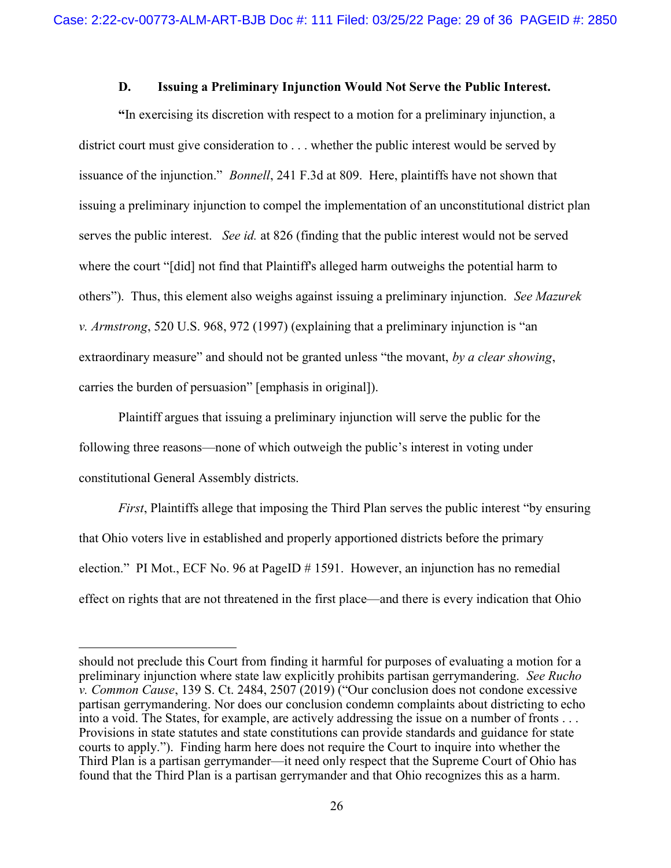#### D. Issuing a Preliminary Injunction Would Not Serve the Public Interest.

 "In exercising its discretion with respect to a motion for a preliminary injunction, a district court must give consideration to . . . whether the public interest would be served by issuance of the injunction." Bonnell, 241 F.3d at 809. Here, plaintiffs have not shown that issuing a preliminary injunction to compel the implementation of an unconstitutional district plan serves the public interest. See id. at 826 (finding that the public interest would not be served where the court "[did] not find that Plaintiff's alleged harm outweighs the potential harm to others"). Thus, this element also weighs against issuing a preliminary injunction. See Mazurek v. Armstrong, 520 U.S. 968, 972 (1997) (explaining that a preliminary injunction is "an extraordinary measure" and should not be granted unless "the movant, by a clear showing, carries the burden of persuasion" [emphasis in original]).

 Plaintiff argues that issuing a preliminary injunction will serve the public for the following three reasons—none of which outweigh the public's interest in voting under constitutional General Assembly districts.

First, Plaintiffs allege that imposing the Third Plan serves the public interest "by ensuring that Ohio voters live in established and properly apportioned districts before the primary election." PI Mot., ECF No. 96 at PageID # 1591. However, an injunction has no remedial effect on rights that are not threatened in the first place—and there is every indication that Ohio

should not preclude this Court from finding it harmful for purposes of evaluating a motion for a preliminary injunction where state law explicitly prohibits partisan gerrymandering. See Rucho v. Common Cause, 139 S. Ct. 2484, 2507 (2019) ("Our conclusion does not condone excessive partisan gerrymandering. Nor does our conclusion condemn complaints about districting to echo into a void. The States, for example, are actively addressing the issue on a number of fronts . . . Provisions in state statutes and state constitutions can provide standards and guidance for state courts to apply."). Finding harm here does not require the Court to inquire into whether the Third Plan is a partisan gerrymander—it need only respect that the Supreme Court of Ohio has found that the Third Plan is a partisan gerrymander and that Ohio recognizes this as a harm.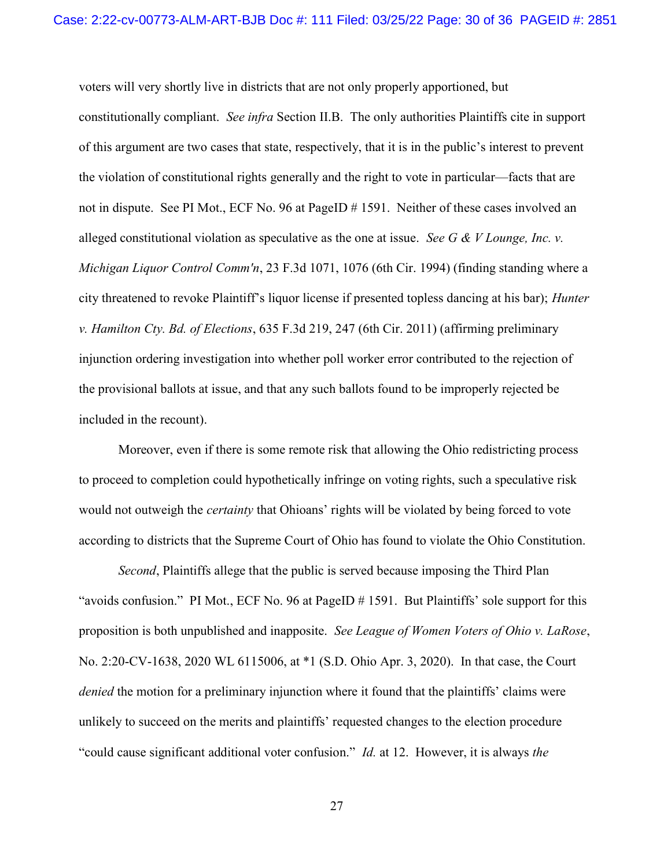voters will very shortly live in districts that are not only properly apportioned, but constitutionally compliant. See infra Section II.B. The only authorities Plaintiffs cite in support of this argument are two cases that state, respectively, that it is in the public's interest to prevent the violation of constitutional rights generally and the right to vote in particular—facts that are not in dispute. See PI Mot., ECF No. 96 at PageID # 1591. Neither of these cases involved an alleged constitutional violation as speculative as the one at issue. See G & V Lounge, Inc. v. Michigan Liquor Control Comm'n, 23 F.3d 1071, 1076 (6th Cir. 1994) (finding standing where a city threatened to revoke Plaintiff's liquor license if presented topless dancing at his bar); Hunter v. Hamilton Cty. Bd. of Elections, 635 F.3d 219, 247 (6th Cir. 2011) (affirming preliminary injunction ordering investigation into whether poll worker error contributed to the rejection of the provisional ballots at issue, and that any such ballots found to be improperly rejected be included in the recount).

 Moreover, even if there is some remote risk that allowing the Ohio redistricting process to proceed to completion could hypothetically infringe on voting rights, such a speculative risk would not outweigh the *certainty* that Ohioans' rights will be violated by being forced to vote according to districts that the Supreme Court of Ohio has found to violate the Ohio Constitution.

Second, Plaintiffs allege that the public is served because imposing the Third Plan "avoids confusion." PI Mot., ECF No. 96 at PageID # 1591. But Plaintiffs' sole support for this proposition is both unpublished and inapposite. See League of Women Voters of Ohio v. LaRose, No. 2:20-CV-1638, 2020 WL 6115006, at \*1 (S.D. Ohio Apr. 3, 2020). In that case, the Court denied the motion for a preliminary injunction where it found that the plaintiffs' claims were unlikely to succeed on the merits and plaintiffs' requested changes to the election procedure "could cause significant additional voter confusion." *Id.* at 12. However, it is always the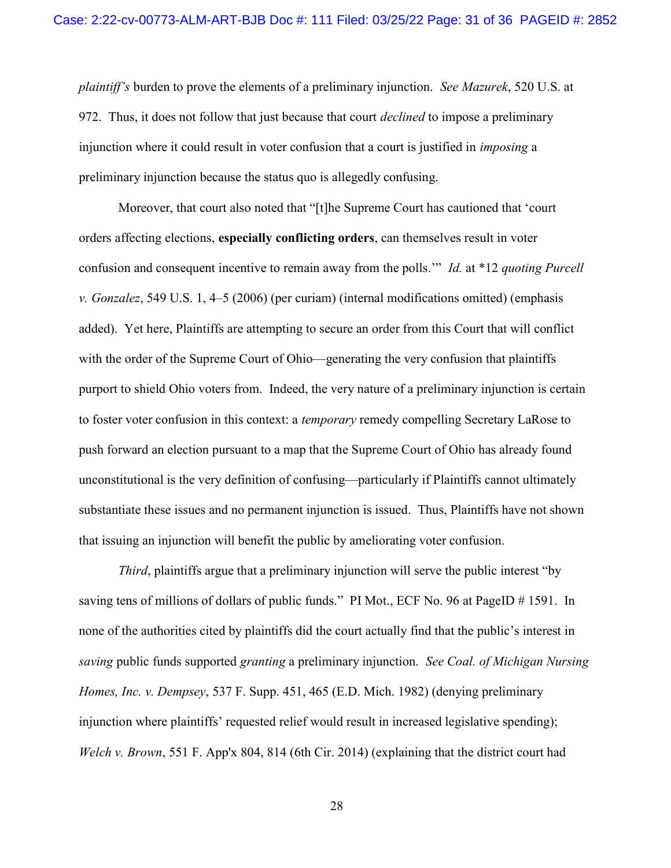plaintiff's burden to prove the elements of a preliminary injunction. See Mazurek, 520 U.S. at 972. Thus, it does not follow that just because that court *declined* to impose a preliminary injunction where it could result in voter confusion that a court is justified in imposing a preliminary injunction because the status quo is allegedly confusing.

 Moreover, that court also noted that "[t]he Supreme Court has cautioned that 'court orders affecting elections, especially conflicting orders, can themselves result in voter confusion and consequent incentive to remain away from the polls." Id. at \*12 quoting Purcell v. Gonzalez, 549 U.S. 1, 4–5 (2006) (per curiam) (internal modifications omitted) (emphasis added). Yet here, Plaintiffs are attempting to secure an order from this Court that will conflict with the order of the Supreme Court of Ohio—generating the very confusion that plaintiffs purport to shield Ohio voters from. Indeed, the very nature of a preliminary injunction is certain to foster voter confusion in this context: a temporary remedy compelling Secretary LaRose to push forward an election pursuant to a map that the Supreme Court of Ohio has already found unconstitutional is the very definition of confusing—particularly if Plaintiffs cannot ultimately substantiate these issues and no permanent injunction is issued. Thus, Plaintiffs have not shown that issuing an injunction will benefit the public by ameliorating voter confusion.

Third, plaintiffs argue that a preliminary injunction will serve the public interest "by saving tens of millions of dollars of public funds." PI Mot., ECF No. 96 at PageID # 1591. In none of the authorities cited by plaintiffs did the court actually find that the public's interest in saving public funds supported granting a preliminary injunction. See Coal. of Michigan Nursing Homes, Inc. v. Dempsey, 537 F. Supp. 451, 465 (E.D. Mich. 1982) (denying preliminary injunction where plaintiffs' requested relief would result in increased legislative spending); Welch v. Brown, 551 F. App'x 804, 814 (6th Cir. 2014) (explaining that the district court had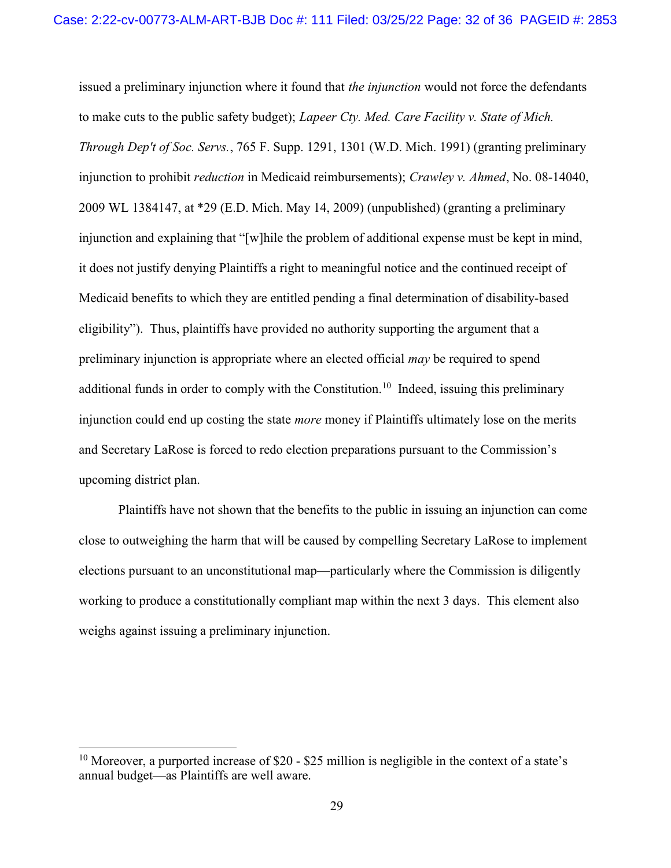issued a preliminary injunction where it found that *the injunction* would not force the defendants to make cuts to the public safety budget); *Lapeer Cty. Med. Care Facility v. State of Mich.* Through Dep't of Soc. Servs., 765 F. Supp. 1291, 1301 (W.D. Mich. 1991) (granting preliminary injunction to prohibit *reduction* in Medicaid reimbursements); Crawley v. Ahmed, No. 08-14040, 2009 WL 1384147, at \*29 (E.D. Mich. May 14, 2009) (unpublished) (granting a preliminary injunction and explaining that "[w]hile the problem of additional expense must be kept in mind, it does not justify denying Plaintiffs a right to meaningful notice and the continued receipt of Medicaid benefits to which they are entitled pending a final determination of disability-based eligibility"). Thus, plaintiffs have provided no authority supporting the argument that a preliminary injunction is appropriate where an elected official may be required to spend additional funds in order to comply with the Constitution.<sup>10</sup> Indeed, issuing this preliminary injunction could end up costing the state *more* money if Plaintiffs ultimately lose on the merits and Secretary LaRose is forced to redo election preparations pursuant to the Commission's upcoming district plan.

 Plaintiffs have not shown that the benefits to the public in issuing an injunction can come close to outweighing the harm that will be caused by compelling Secretary LaRose to implement elections pursuant to an unconstitutional map—particularly where the Commission is diligently working to produce a constitutionally compliant map within the next 3 days. This element also weighs against issuing a preliminary injunction.

<sup>&</sup>lt;sup>10</sup> Moreover, a purported increase of \$20 - \$25 million is negligible in the context of a state's annual budget—as Plaintiffs are well aware.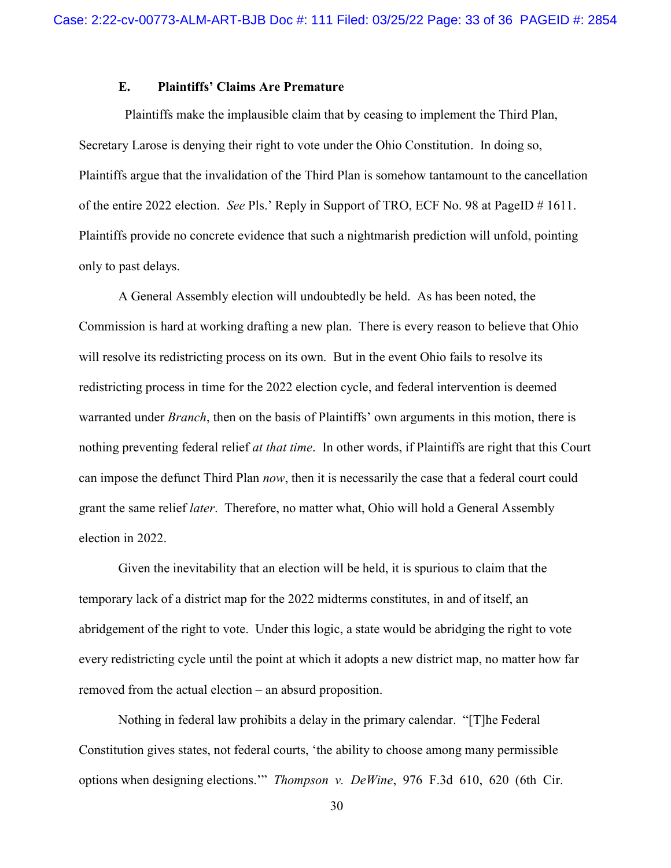### E. Plaintiffs' Claims Are Premature

 Plaintiffs make the implausible claim that by ceasing to implement the Third Plan, Secretary Larose is denying their right to vote under the Ohio Constitution. In doing so, Plaintiffs argue that the invalidation of the Third Plan is somehow tantamount to the cancellation of the entire 2022 election. See Pls.' Reply in Support of TRO, ECF No. 98 at PageID # 1611. Plaintiffs provide no concrete evidence that such a nightmarish prediction will unfold, pointing only to past delays.

A General Assembly election will undoubtedly be held. As has been noted, the Commission is hard at working drafting a new plan. There is every reason to believe that Ohio will resolve its redistricting process on its own. But in the event Ohio fails to resolve its redistricting process in time for the 2022 election cycle, and federal intervention is deemed warranted under *Branch*, then on the basis of Plaintiffs' own arguments in this motion, there is nothing preventing federal relief at that time. In other words, if Plaintiffs are right that this Court can impose the defunct Third Plan now, then it is necessarily the case that a federal court could grant the same relief later. Therefore, no matter what, Ohio will hold a General Assembly election in 2022.

Given the inevitability that an election will be held, it is spurious to claim that the temporary lack of a district map for the 2022 midterms constitutes, in and of itself, an abridgement of the right to vote. Under this logic, a state would be abridging the right to vote every redistricting cycle until the point at which it adopts a new district map, no matter how far removed from the actual election – an absurd proposition.

Nothing in federal law prohibits a delay in the primary calendar. "[T]he Federal Constitution gives states, not federal courts, 'the ability to choose among many permissible options when designing elections.'" Thompson v. DeWine, 976 F.3d 610, 620 (6th Cir.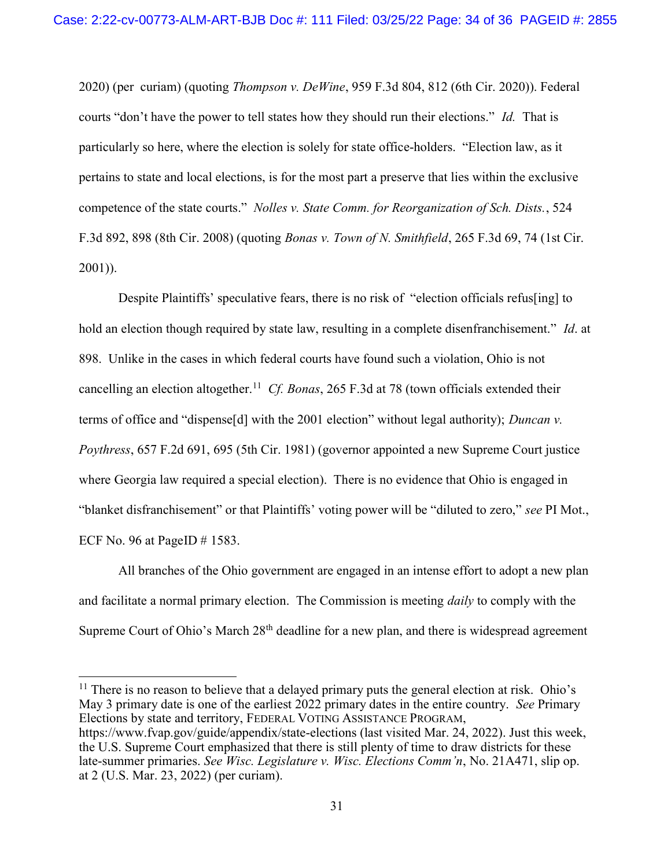2020) (per curiam) (quoting Thompson v. DeWine, 959 F.3d 804, 812 (6th Cir. 2020)). Federal courts "don't have the power to tell states how they should run their elections." Id. That is particularly so here, where the election is solely for state office-holders. "Election law, as it pertains to state and local elections, is for the most part a preserve that lies within the exclusive competence of the state courts." Nolles v. State Comm. for Reorganization of Sch. Dists., 524 F.3d 892, 898 (8th Cir. 2008) (quoting Bonas v. Town of N. Smithfield, 265 F.3d 69, 74 (1st Cir. 2001)).

Despite Plaintiffs' speculative fears, there is no risk of "election officials refus[ing] to hold an election though required by state law, resulting in a complete disenfranchisement." Id. at 898. Unlike in the cases in which federal courts have found such a violation, Ohio is not cancelling an election altogether.<sup>11</sup> Cf. Bonas, 265 F.3d at 78 (town officials extended their terms of office and "dispense[d] with the 2001 election" without legal authority); Duncan v. Poythress, 657 F.2d 691, 695 (5th Cir. 1981) (governor appointed a new Supreme Court justice where Georgia law required a special election). There is no evidence that Ohio is engaged in "blanket disfranchisement" or that Plaintiffs' voting power will be "diluted to zero," see PI Mot., ECF No. 96 at PageID  $\#$  1583.

All branches of the Ohio government are engaged in an intense effort to adopt a new plan and facilitate a normal primary election. The Commission is meeting *daily* to comply with the Supreme Court of Ohio's March  $28<sup>th</sup>$  deadline for a new plan, and there is widespread agreement

 $11$  There is no reason to believe that a delayed primary puts the general election at risk. Ohio's May 3 primary date is one of the earliest 2022 primary dates in the entire country. See Primary Elections by state and territory, FEDERAL VOTING ASSISTANCE PROGRAM, https://www.fvap.gov/guide/appendix/state-elections (last visited Mar. 24, 2022). Just this week, the U.S. Supreme Court emphasized that there is still plenty of time to draw districts for these late-summer primaries. See Wisc. Legislature v. Wisc. Elections Comm'n, No. 21A471, slip op. at 2 (U.S. Mar. 23, 2022) (per curiam).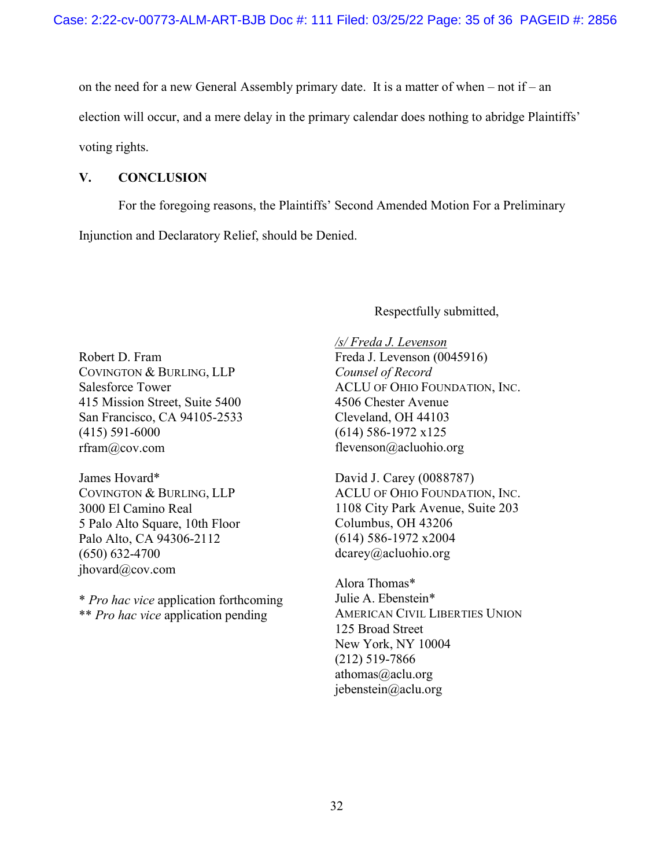on the need for a new General Assembly primary date. It is a matter of when – not if – an election will occur, and a mere delay in the primary calendar does nothing to abridge Plaintiffs' voting rights.

## V. CONCLUSION

For the foregoing reasons, the Plaintiffs' Second Amended Motion For a Preliminary Injunction and Declaratory Relief, should be Denied.

Respectfully submitted,

Robert D. Fram COVINGTON & BURLING, LLP Salesforce Tower 415 Mission Street, Suite 5400 San Francisco, CA 94105-2533 (415) 591-6000 rfram@cov.com

James Hovard\* COVINGTON & BURLING, LLP 3000 El Camino Real 5 Palo Alto Square, 10th Floor Palo Alto, CA 94306-2112 (650) 632-4700 jhovard@cov.com

\* Pro hac vice application forthcoming \*\* Pro hac vice application pending

/s/ Freda J. Levenson Freda J. Levenson (0045916) Counsel of Record ACLU OF OHIO FOUNDATION, INC. 4506 Chester Avenue Cleveland, OH 44103 (614) 586-1972 x125 flevenson@acluohio.org

David J. Carey (0088787) ACLU OF OHIO FOUNDATION, INC. 1108 City Park Avenue, Suite 203 Columbus, OH 43206 (614) 586-1972 x2004 dcarey@acluohio.org

Alora Thomas\* Julie A. Ebenstein\* AMERICAN CIVIL LIBERTIES UNION 125 Broad Street New York, NY 10004 (212) 519-7866 athomas $@$ aclu.org jebenstein@aclu.org